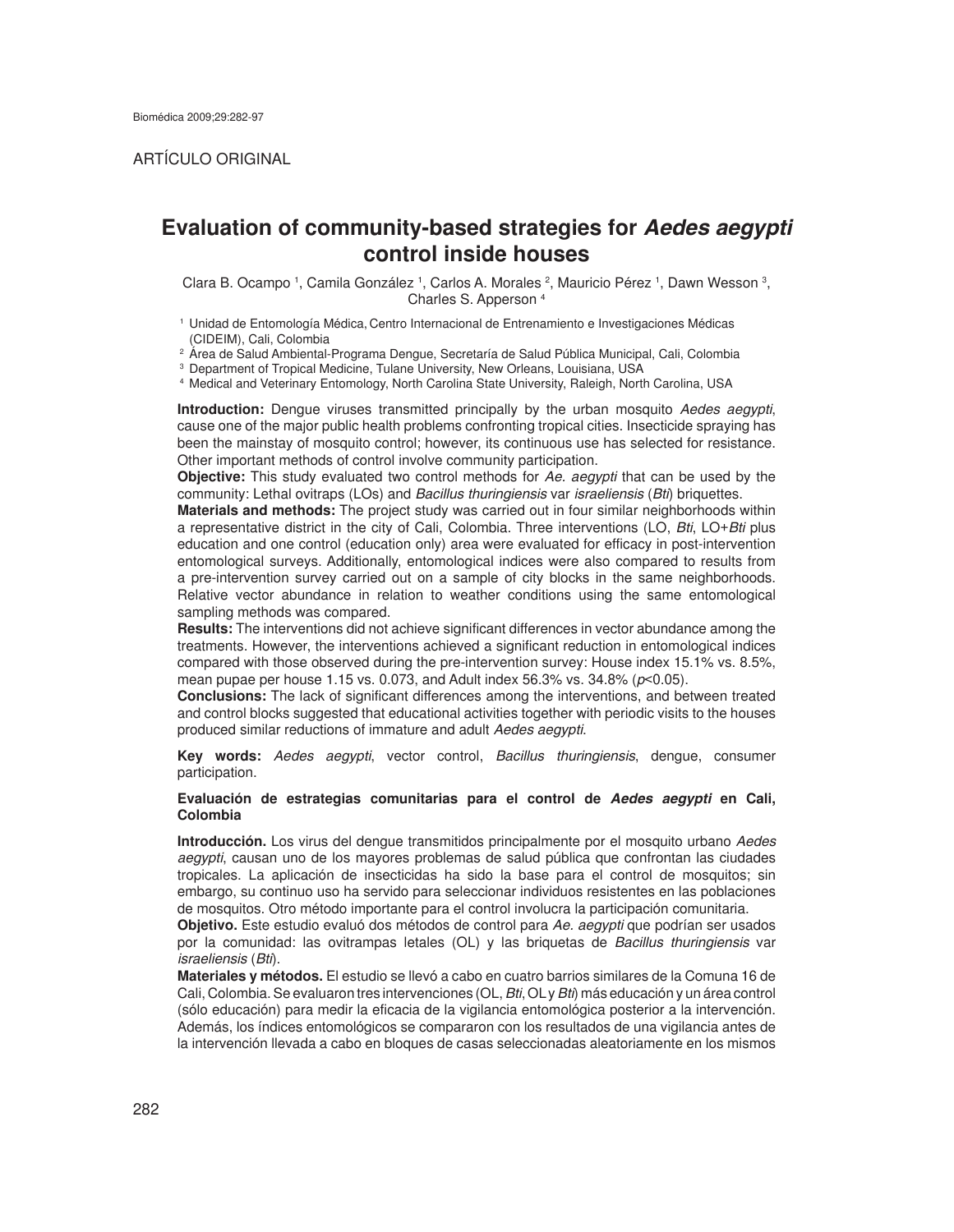# ARTÍCULO ORIGINAL

# **Evaluation of community-based strategies for** *Aedes aegypti* **control inside houses**

Clara B. Ocampo <sup>1</sup>, Camila González <sup>1</sup>, Carlos A. Morales <sup>2</sup>, Mauricio Pérez <sup>1</sup>, Dawn Wesson <sup>3</sup>, Charles S. Apperson 4

1 Unidad de Entomología Médica, Centro Internacional de Entrenamiento e Investigaciones Médicas

<sup>2</sup> Årea de Salud Ambiental-Programa Dengue, Secretaría de Salud Pública Municipal, Cali, Colombia<br><sup>3</sup> Department of Tropical Medicine, Tulane University, New Orleans, Louisiana, USA<br><sup>4</sup> Medical and Veterinary Entomology,

**Introduction:** Dengue viruses transmitted principally by the urban mosquito *Aedes aegypti*, cause one of the major public health problems confronting tropical cities. Insecticide spraying has been the mainstay of mosquito control; however, its continuous use has selected for resistance. Other important methods of control involve community participation.

**Objective:** This study evaluated two control methods for *Ae. aegypti* that can be used by the community: Lethal ovitraps (LOs) and *Bacillus thuringiensis* var *israeliensis* (*Bti*) briquettes.

**Materials and methods:** The project study was carried out in four similar neighborhoods within a representative district in the city of Cali, Colombia. Three interventions (LO, *Bti*, LO+*Bti* plus education and one control (education only) area were evaluated for efficacy in post-intervention entomological surveys. Additionally, entomological indices were also compared to results from a pre-intervention survey carried out on a sample of city blocks in the same neighborhoods. Relative vector abundance in relation to weather conditions using the same entomological sampling methods was compared.

**Results:** The interventions did not achieve significant differences in vector abundance among the treatments. However, the interventions achieved a significant reduction in entomological indices compared with those observed during the pre-intervention survey: House index 15.1% vs. 8.5%, mean pupae per house 1.15 vs. 0.073, and Adult index 56.3% vs. 34.8% (*p*<0.05).

**Conclusions:** The lack of significant differences among the interventions, and between treated and control blocks suggested that educational activities together with periodic visits to the houses produced similar reductions of immature and adult *Aedes aegypti*.

**Key words:** *Aedes aegypti*, vector control, *Bacillus thuringiensis*, dengue, consumer participation.

### **Evaluación de estrategias comunitarias para el control de** *Aedes aegypti* **en Cali, Colombia**

**Introducción.** Los virus del dengue transmitidos principalmente por el mosquito urbano *Aedes aegypti*, causan uno de los mayores problemas de salud pública que confrontan las ciudades tropicales. La aplicación de insecticidas ha sido la base para el control de mosquitos; sin embargo, su continuo uso ha servido para seleccionar individuos resistentes en las poblaciones de mosquitos. Otro método importante para el control involucra la participación comunitaria.

**Objetivo.** Este estudio evaluó dos métodos de control para *Ae. aegypti* que podrían ser usados por la comunidad: las ovitrampas letales (OL) y las briquetas de *Bacillus thuringiensis* var *israeliensis* (*Bti*).

**Materiales y métodos.** El estudio se llevó a cabo en cuatro barrios similares de la Comuna 16 de Cali, Colombia. Se evaluaron tres intervenciones (OL, *Bti*, OL y *Bti*) más educación y un área control (sólo educación) para medir la eficacia de la vigilancia entomológica posterior a la intervención. Además, los índices entomológicos se compararon con los resultados de una vigilancia antes de la intervención llevada a cabo en bloques de casas seleccionadas aleatoriamente en los mismos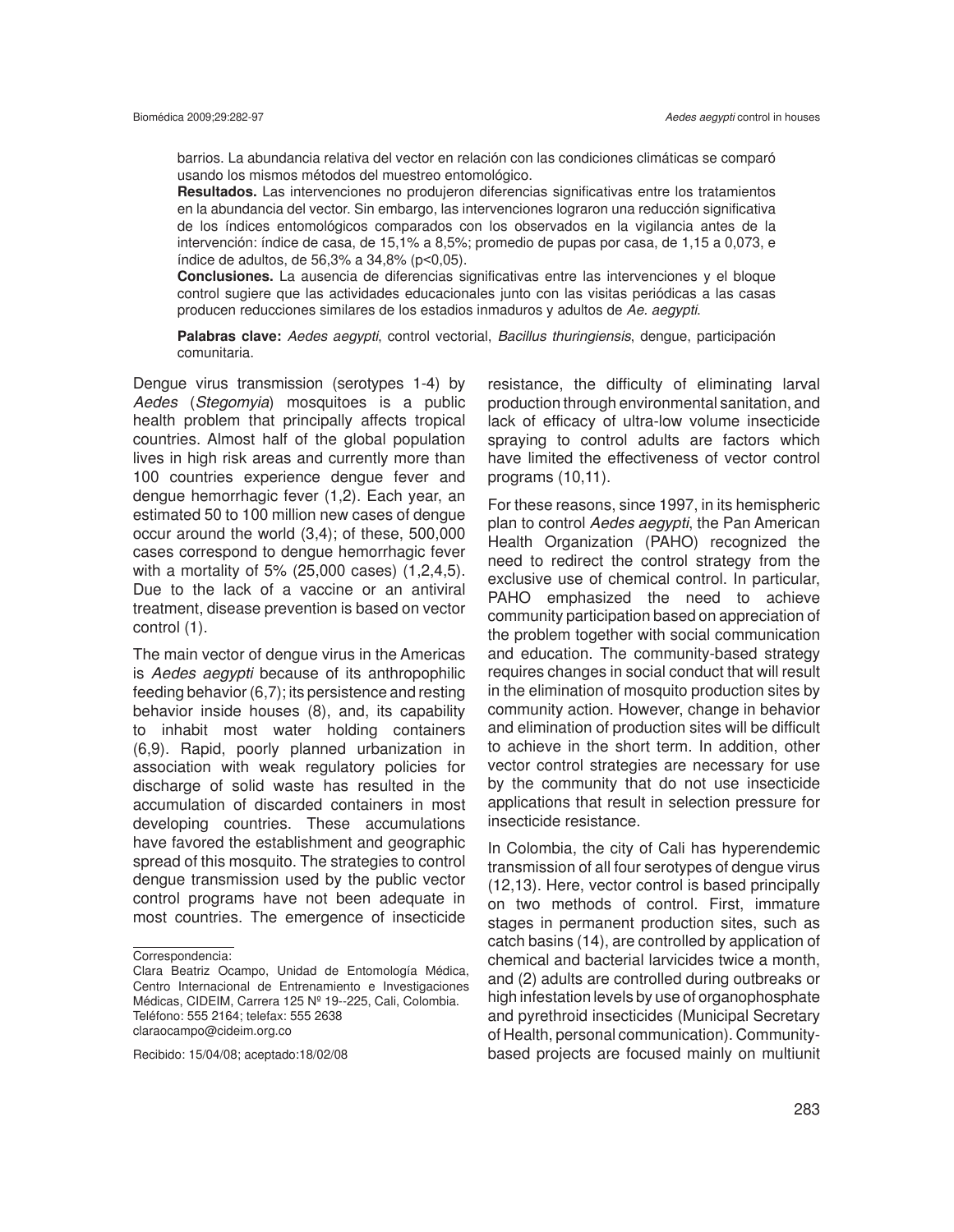barrios. La abundancia relativa del vector en relación con las condiciones climáticas se comparó usando los mismos métodos del muestreo entomológico.

**Resultados.** Las intervenciones no produjeron diferencias significativas entre los tratamientos en la abundancia del vector. Sin embargo, las intervenciones lograron una reducción significativa de los índices entomológicos comparados con los observados en la vigilancia antes de la intervención: índice de casa, de 15,1% a 8,5%; promedio de pupas por casa, de 1,15 a 0,073, e índice de adultos, de 56,3% a 34,8% (p<0,05).

**Conclusiones.** La ausencia de diferencias significativas entre las intervenciones y el bloque control sugiere que las actividades educacionales junto con las visitas periódicas a las casas producen reducciones similares de los estadios inmaduros y adultos de *Ae. aegypti*.

**Palabras clave:** *Aedes aegypti*, control vectorial, *Bacillus thuringiensis*, dengue, participación comunitaria.

Dengue virus transmission (serotypes 1-4) by *Aedes* (*Stegomyia*) mosquitoes is a public health problem that principally affects tropical countries. Almost half of the global population lives in high risk areas and currently more than 100 countries experience dengue fever and dengue hemorrhagic fever (1,2). Each year, an estimated 50 to 100 million new cases of dengue occur around the world (3,4); of these, 500,000 cases correspond to dengue hemorrhagic fever with a mortality of 5% (25,000 cases) (1,2,4,5). Due to the lack of a vaccine or an antiviral treatment, disease prevention is based on vector control (1).

The main vector of dengue virus in the Americas is *Aedes aegypti* because of its anthropophilic feeding behavior (6,7); its persistence and resting behavior inside houses (8), and, its capability to inhabit most water holding containers (6,9). Rapid, poorly planned urbanization in association with weak regulatory policies for discharge of solid waste has resulted in the accumulation of discarded containers in most developing countries. These accumulations have favored the establishment and geographic spread of this mosquito. The strategies to control dengue transmission used by the public vector control programs have not been adequate in most countries. The emergence of insecticide

Recibido: 15/04/08; aceptado:18/02/08

resistance, the difficulty of eliminating larval production through environmental sanitation, and lack of efficacy of ultra-low volume insecticide spraying to control adults are factors which have limited the effectiveness of vector control programs (10,11).

For these reasons, since 1997, in its hemispheric plan to control *Aedes aegypti*, the Pan American Health Organization (PAHO) recognized the need to redirect the control strategy from the exclusive use of chemical control. In particular, PAHO emphasized the need to achieve community participation based on appreciation of the problem together with social communication and education. The community-based strategy requires changes in social conduct that will result in the elimination of mosquito production sites by community action. However, change in behavior and elimination of production sites will be difficult to achieve in the short term. In addition, other vector control strategies are necessary for use by the community that do not use insecticide applications that result in selection pressure for insecticide resistance.

In Colombia, the city of Cali has hyperendemic transmission of all four serotypes of dengue virus (12,13). Here, vector control is based principally on two methods of control. First, immature stages in permanent production sites, such as catch basins (14), are controlled by application of chemical and bacterial larvicides twice a month, and (2) adults are controlled during outbreaks or high infestation levels by use of organophosphate and pyrethroid insecticides (Municipal Secretary of Health, personal communication). Communitybased projects are focused mainly on multiunit

Correspondencia:

Clara Beatriz Ocampo, Unidad de Entomología Médica, Centro Internacional de Entrenamiento e Investigaciones Médicas, CIDEIM, Carrera 125 Nº 19--225, Cali, Colombia. Teléfono: 555 2164; telefax: 555 2638 claraocampo@cideim.org.co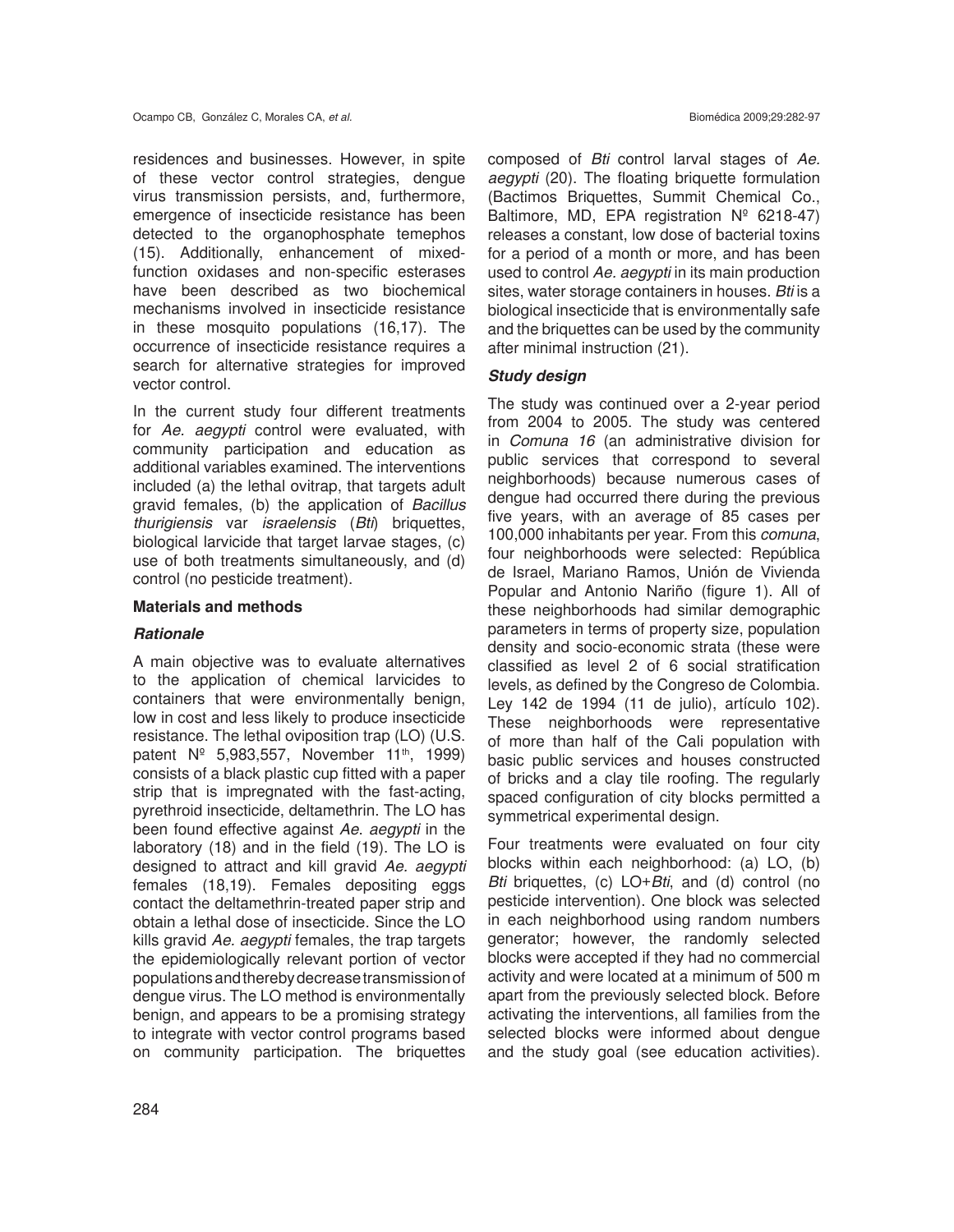residences and businesses. However, in spite of these vector control strategies, dengue virus transmission persists, and, furthermore, emergence of insecticide resistance has been detected to the organophosphate temephos (15). Additionally, enhancement of mixedfunction oxidases and non-specific esterases have been described as two biochemical mechanisms involved in insecticide resistance in these mosquito populations (16,17). The occurrence of insecticide resistance requires a search for alternative strategies for improved vector control.

In the current study four different treatments for *Ae. aegypti* control were evaluated, with community participation and education as additional variables examined. The interventions included (a) the lethal ovitrap, that targets adult gravid females, (b) the application of *Bacillus thurigiensis* var *israelensis* (*Bti*) briquettes, biological larvicide that target larvae stages, (c) use of both treatments simultaneously, and (d) control (no pesticide treatment).

## **Materials and methods**

# *Rationale*

A main objective was to evaluate alternatives to the application of chemical larvicides to containers that were environmentally benign, low in cost and less likely to produce insecticide resistance. The lethal oviposition trap (LO) (U.S. patent  $N^{\circ}$  5,983,557, November 11<sup>th</sup>, 1999) consists of a black plastic cup fitted with a paper strip that is impregnated with the fast-acting, pyrethroid insecticide, deltamethrin. The LO has been found effective against *Ae*. *aegypti* in the laboratory (18) and in the field (19). The LO is designed to attract and kill gravid *Ae. aegypti* females (18,19). Females depositing eggs contact the deltamethrin-treated paper strip and obtain a lethal dose of insecticide. Since the LO kills gravid *Ae. aegypti* females, the trap targets the epidemiologically relevant portion of vector populations and thereby decrease transmission of dengue virus. The LO method is environmentally benign, and appears to be a promising strategy to integrate with vector control programs based on community participation. The briquettes

composed of *Bti* control larval stages of *Ae. aegypti* (20). The floating briquette formulation (Bactimos Briquettes, Summit Chemical Co., Baltimore, MD, EPA registration Nº 6218-47) releases a constant, low dose of bacterial toxins for a period of a month or more, and has been used to control *Ae. aegypti* in its main production sites, water storage containers in houses. *Bti* is a biological insecticide that is environmentally safe and the briquettes can be used by the community after minimal instruction (21).

# *Study design*

The study was continued over a 2-year period from 2004 to 2005. The study was centered in *Comuna 16* (an administrative division for public services that correspond to several neighborhoods) because numerous cases of dengue had occurred there during the previous five years, with an average of 85 cases per 100,000 inhabitants per year. From this *comuna*, four neighborhoods were selected: República de Israel, Mariano Ramos, Unión de Vivienda Popular and Antonio Nariño (figure 1). All of these neighborhoods had similar demographic parameters in terms of property size, population density and socio-economic strata (these were classified as level 2 of 6 social stratification levels, as defined by the Congreso de Colombia. Ley 142 de 1994 (11 de julio), artículo 102). These neighborhoods were representative of more than half of the Cali population with basic public services and houses constructed of bricks and a clay tile roofing. The regularly spaced configuration of city blocks permitted a symmetrical experimental design.

Four treatments were evaluated on four city blocks within each neighborhood: (a) LO, (b) *Bti* briquettes, (c) LO+*Bti*, and (d) control (no pesticide intervention). One block was selected in each neighborhood using random numbers generator; however, the randomly selected blocks were accepted if they had no commercial activity and were located at a minimum of 500 m apart from the previously selected block. Before activating the interventions, all families from the selected blocks were informed about dengue and the study goal (see education activities).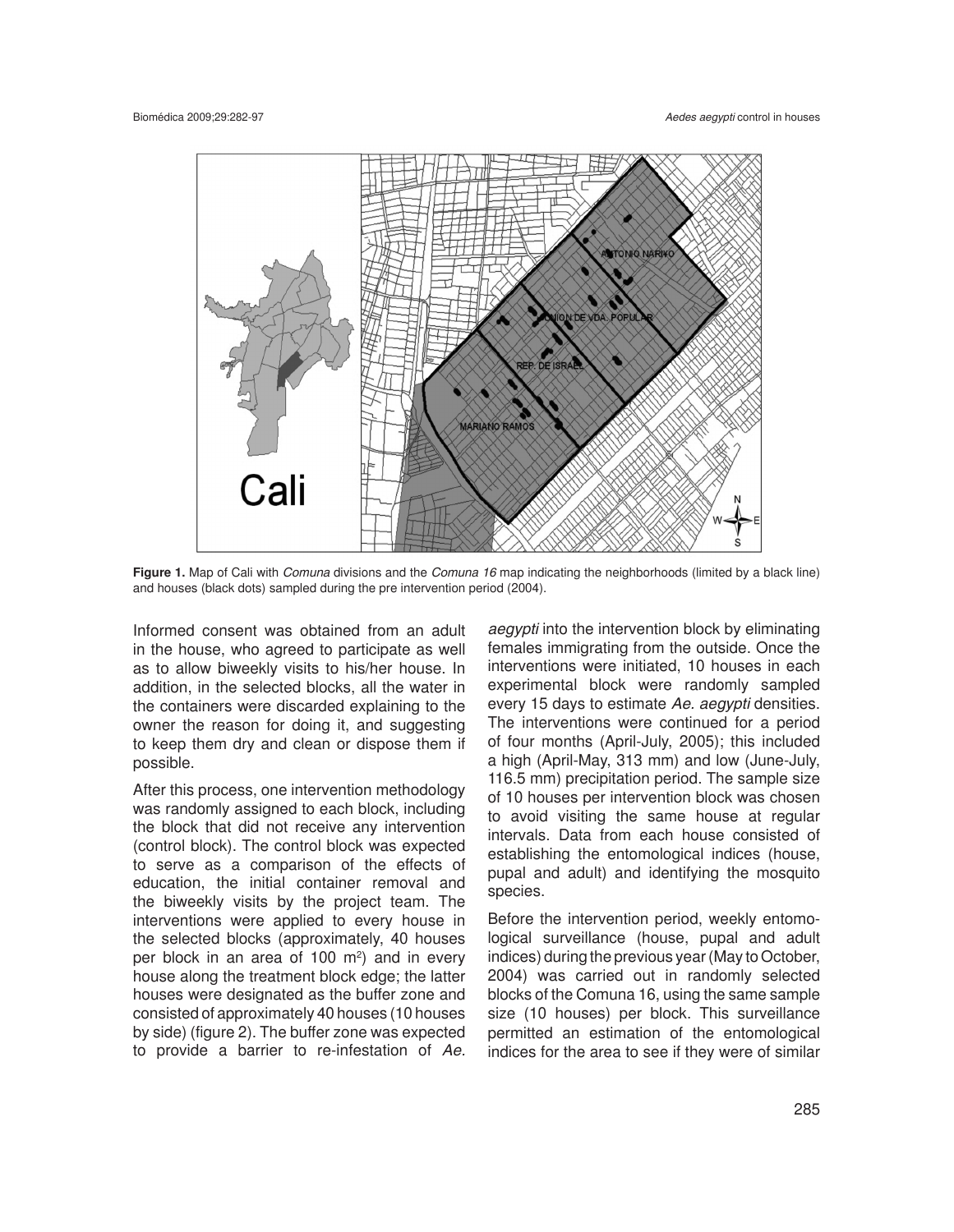

**Figure 1.** Map of Cali with *Comuna* divisions and the *Comuna 16* map indicating the neighborhoods (limited by a black line) and houses (black dots) sampled during the pre intervention period (2004).

Informed consent was obtained from an adult in the house, who agreed to participate as well as to allow biweekly visits to his/her house. In addition, in the selected blocks, all the water in the containers were discarded explaining to the owner the reason for doing it, and suggesting to keep them dry and clean or dispose them if possible.

After this process, one intervention methodology was randomly assigned to each block, including the block that did not receive any intervention (control block). The control block was expected to serve as a comparison of the effects of education, the initial container removal and the biweekly visits by the project team. The interventions were applied to every house in the selected blocks (approximately, 40 houses per block in an area of 100  $\mathrm{m}^2$ ) and in every house along the treatment block edge; the latter houses were designated as the buffer zone and consisted of approximately 40 houses (10 houses by side) (figure 2). The buffer zone was expected to provide a barrier to re-infestation of *Ae.* 

*aegypti* into the intervention block by eliminating females immigrating from the outside. Once the interventions were initiated, 10 houses in each experimental block were randomly sampled every 15 days to estimate *Ae. aegypti* densities. The interventions were continued for a period of four months (April-July, 2005); this included a high (April-May, 313 mm) and low (June-July, 116.5 mm) precipitation period. The sample size of 10 houses per intervention block was chosen to avoid visiting the same house at regular intervals. Data from each house consisted of establishing the entomological indices (house, pupal and adult) and identifying the mosquito species.

Before the intervention period, weekly entomological surveillance (house, pupal and adult indices) during the previous year (May to October, 2004) was carried out in randomly selected blocks of the Comuna 16, using the same sample size (10 houses) per block. This surveillance permitted an estimation of the entomological indices for the area to see if they were of similar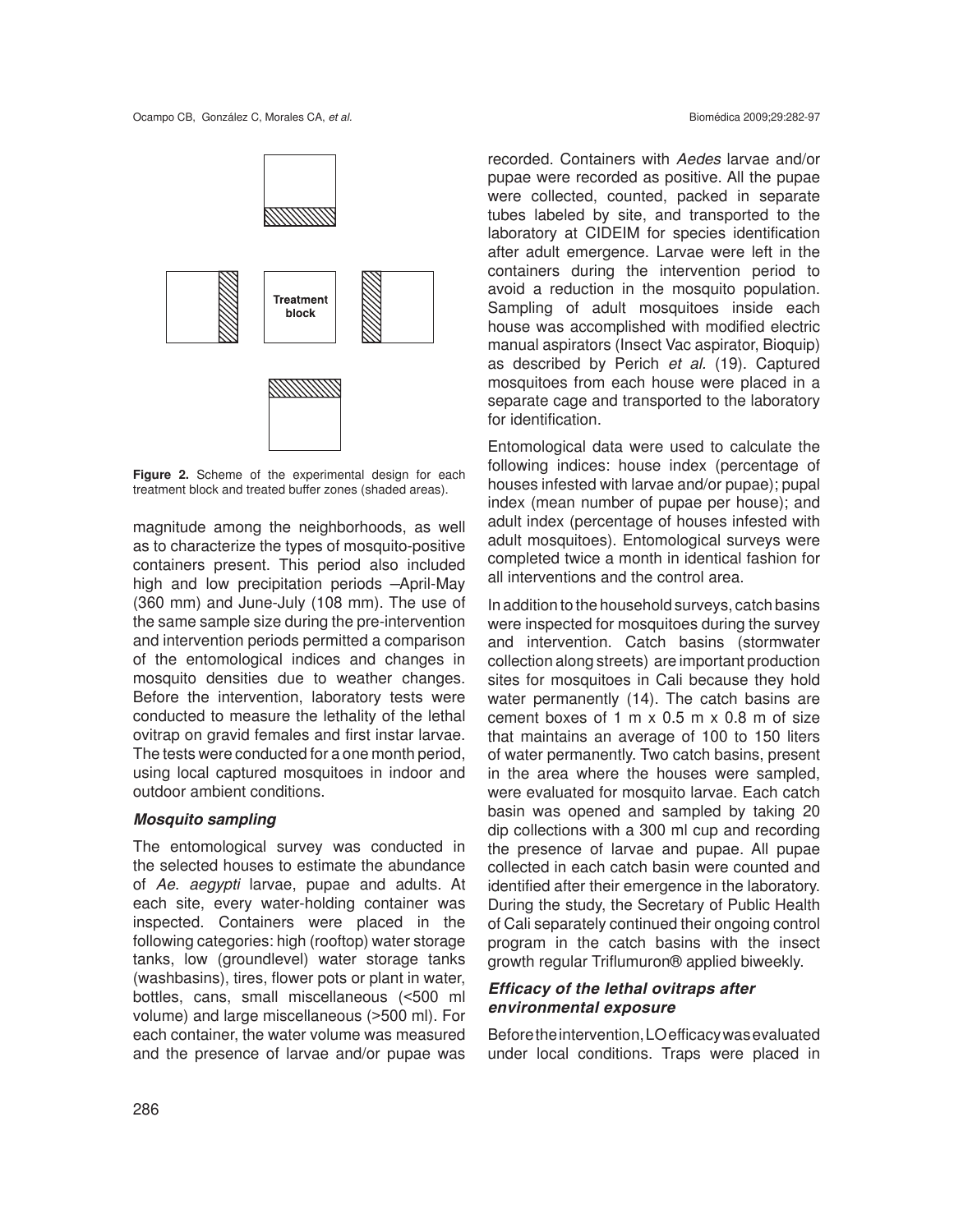

**Figure 2.** Scheme of the experimental design for each treatment block and treated buffer zones (shaded areas).

magnitude among the neighborhoods, as well as to characterize the types of mosquito-positive containers present. This period also included high and low precipitation periods –April-May (360 mm) and June-July (108 mm). The use of the same sample size during the pre-intervention and intervention periods permitted a comparison of the entomological indices and changes in mosquito densities due to weather changes. Before the intervention, laboratory tests were conducted to measure the lethality of the lethal ovitrap on gravid females and first instar larvae. The tests were conducted for a one month period, using local captured mosquitoes in indoor and outdoor ambient conditions.

### *Mosquito sampling*

The entomological survey was conducted in the selected houses to estimate the abundance of *Ae*. *aegypti* larvae, pupae and adults. At each site, every water-holding container was inspected. Containers were placed in the following categories: high (rooftop) water storage tanks, low (groundlevel) water storage tanks (washbasins), tires, flower pots or plant in water, bottles, cans, small miscellaneous (<500 ml volume) and large miscellaneous (>500 ml). For each container, the water volume was measured and the presence of larvae and/or pupae was

recorded. Containers with *Aedes* larvae and/or pupae were recorded as positive. All the pupae were collected, counted, packed in separate tubes labeled by site, and transported to the laboratory at CIDEIM for species identification after adult emergence. Larvae were left in the containers during the intervention period to avoid a reduction in the mosquito population. Sampling of adult mosquitoes inside each house was accomplished with modified electric manual aspirators (Insect Vac aspirator, Bioquip) as described by Perich *et al.* (19). Captured mosquitoes from each house were placed in a separate cage and transported to the laboratory for identification.

Entomological data were used to calculate the following indices: house index (percentage of houses infested with larvae and/or pupae); pupal index (mean number of pupae per house); and adult index (percentage of houses infested with adult mosquitoes). Entomological surveys were completed twice a month in identical fashion for all interventions and the control area.

In addition to the household surveys, catch basins were inspected for mosquitoes during the survey and intervention. Catch basins (stormwater collection along streets) are important production sites for mosquitoes in Cali because they hold water permanently (14). The catch basins are cement boxes of 1 m x 0.5 m x 0.8 m of size that maintains an average of 100 to 150 liters of water permanently. Two catch basins, present in the area where the houses were sampled, were evaluated for mosquito larvae. Each catch basin was opened and sampled by taking 20 dip collections with a 300 ml cup and recording the presence of larvae and pupae. All pupae collected in each catch basin were counted and identified after their emergence in the laboratory. During the study, the Secretary of Public Health of Cali separately continued their ongoing control program in the catch basins with the insect growth regular Triflumuron® applied biweekly.

# *Efficacy of the lethal ovitraps after environmental exposure*

Before the intervention, LO efficacy was evaluated under local conditions. Traps were placed in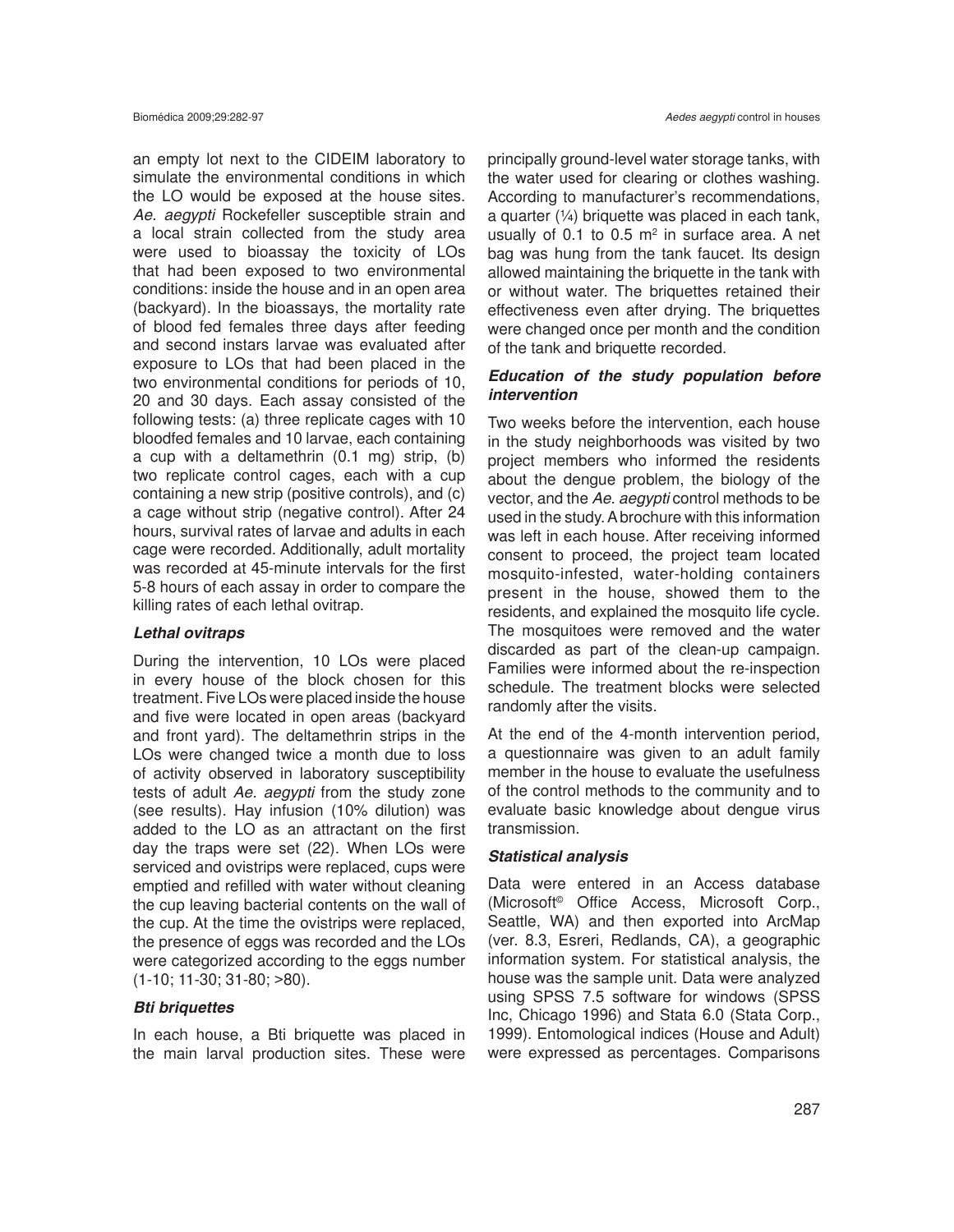an empty lot next to the CIDEIM laboratory to simulate the environmental conditions in which the LO would be exposed at the house sites. *Ae. aegypti* Rockefeller susceptible strain and a local strain collected from the study area were used to bioassay the toxicity of LOs that had been exposed to two environmental conditions: inside the house and in an open area (backyard). In the bioassays, the mortality rate of blood fed females three days after feeding and second instars larvae was evaluated after exposure to LOs that had been placed in the two environmental conditions for periods of 10, 20 and 30 days. Each assay consisted of the following tests: (a) three replicate cages with 10 bloodfed females and 10 larvae, each containing a cup with a deltamethrin (0.1 mg) strip, (b) two replicate control cages, each with a cup containing a new strip (positive controls), and (c) a cage without strip (negative control). After 24 hours, survival rates of larvae and adults in each cage were recorded. Additionally, adult mortality was recorded at 45-minute intervals for the first 5-8 hours of each assay in order to compare the killing rates of each lethal ovitrap.

#### *Lethal ovitraps*

During the intervention, 10 LOs were placed in every house of the block chosen for this treatment. Five LOs were placed inside the house and five were located in open areas (backyard and front yard). The deltamethrin strips in the LOs were changed twice a month due to loss of activity observed in laboratory susceptibility tests of adult *Ae. aegypti* from the study zone (see results). Hay infusion (10% dilution) was added to the LO as an attractant on the first day the traps were set (22). When LOs were serviced and ovistrips were replaced, cups were emptied and refilled with water without cleaning the cup leaving bacterial contents on the wall of the cup. At the time the ovistrips were replaced, the presence of eggs was recorded and the LOs were categorized according to the eggs number (1-10; 11-30; 31-80; >80).

#### *Bti briquettes*

In each house, a Bti briquette was placed in the main larval production sites. These were

principally ground-level water storage tanks, with the water used for clearing or clothes washing. According to manufacturer's recommendations, a quarter  $(1/4)$  briquette was placed in each tank, usually of 0.1 to 0.5  $m<sup>2</sup>$  in surface area. A net bag was hung from the tank faucet. Its design allowed maintaining the briquette in the tank with or without water. The briquettes retained their effectiveness even after drying. The briquettes were changed once per month and the condition of the tank and briquette recorded.

# *Education of the study population before intervention*

Two weeks before the intervention, each house in the study neighborhoods was visited by two project members who informed the residents about the dengue problem, the biology of the vector, and the *Ae*. *aegypti* control methods to be used in the study. A brochure with this information was left in each house. After receiving informed consent to proceed, the project team located mosquito-infested, water-holding containers present in the house, showed them to the residents, and explained the mosquito life cycle. The mosquitoes were removed and the water discarded as part of the clean-up campaign. Families were informed about the re-inspection schedule. The treatment blocks were selected randomly after the visits.

At the end of the 4-month intervention period, a questionnaire was given to an adult family member in the house to evaluate the usefulness of the control methods to the community and to evaluate basic knowledge about dengue virus transmission.

#### *Statistical analysis*

Data were entered in an Access database (Microsoft© Office Access, Microsoft Corp., Seattle, WA) and then exported into ArcMap (ver. 8.3, Esreri, Redlands, CA), a geographic information system. For statistical analysis, the house was the sample unit. Data were analyzed using SPSS 7.5 software for windows (SPSS Inc, Chicago 1996) and Stata 6.0 (Stata Corp., 1999). Entomological indices (House and Adult) were expressed as percentages. Comparisons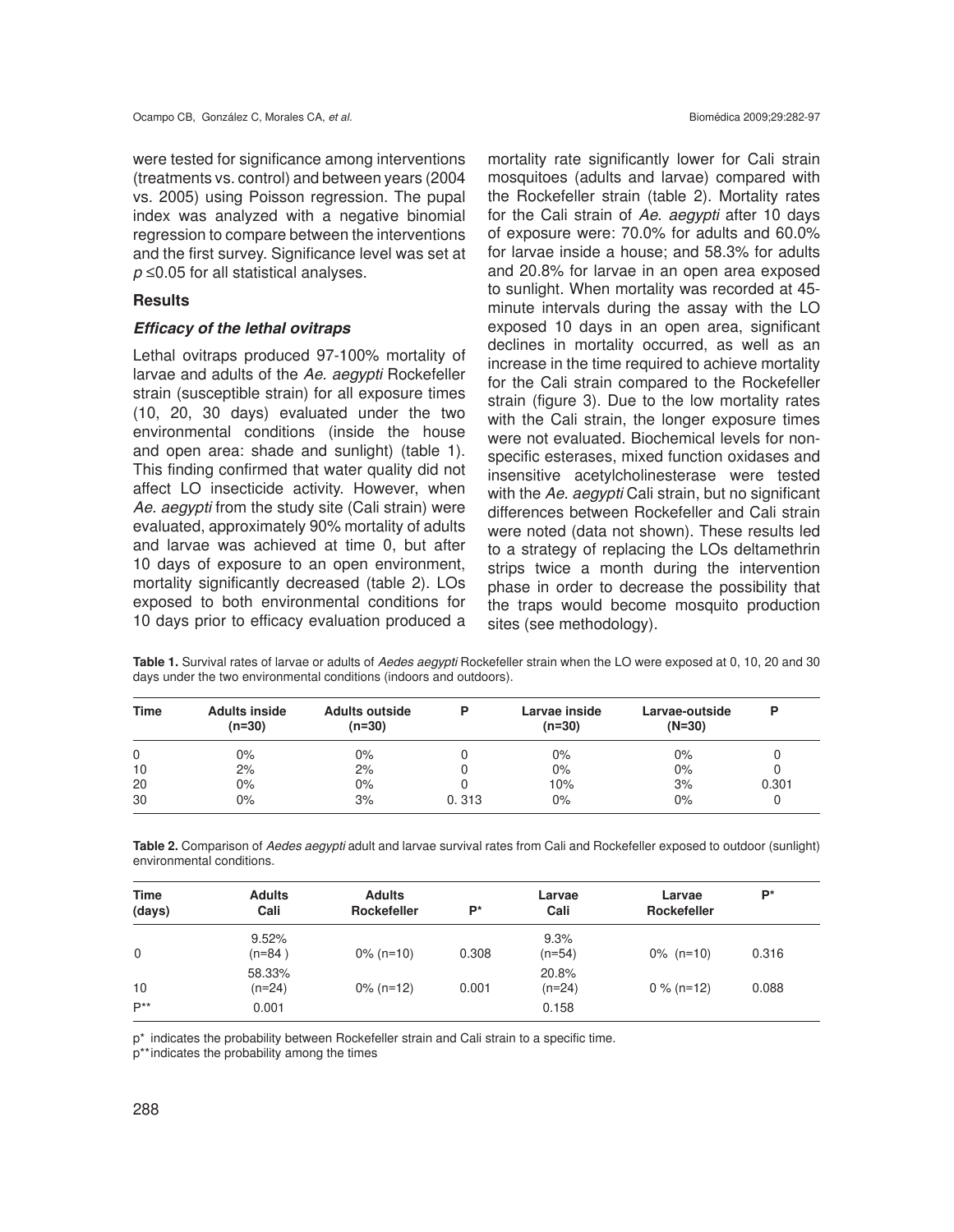were tested for significance among interventions (treatments vs. control) and between years (2004 vs. 2005) using Poisson regression. The pupal index was analyzed with a negative binomial regression to compare between the interventions and the first survey. Significance level was set at *p* ≤0.05 for all statistical analyses.

## **Results**

# *Efficacy of the lethal ovitraps*

Lethal ovitraps produced 97-100% mortality of larvae and adults of the *Ae. aegypti* Rockefeller strain (susceptible strain) for all exposure times (10, 20, 30 days) evaluated under the two environmental conditions (inside the house and open area: shade and sunlight) (table 1). This finding confirmed that water quality did not affect LO insecticide activity. However, when *Ae. aegypti* from the study site (Cali strain) were evaluated, approximately 90% mortality of adults and larvae was achieved at time 0, but after 10 days of exposure to an open environment, mortality significantly decreased (table 2). LOs exposed to both environmental conditions for 10 days prior to efficacy evaluation produced a

mortality rate significantly lower for Cali strain mosquitoes (adults and larvae) compared with the Rockefeller strain (table 2). Mortality rates for the Cali strain of *Ae*. *aegypti* after 10 days of exposure were: 70.0% for adults and 60.0% for larvae inside a house; and 58.3% for adults and 20.8% for larvae in an open area exposed to sunlight. When mortality was recorded at 45 minute intervals during the assay with the LO exposed 10 days in an open area, significant declines in mortality occurred, as well as an increase in the time required to achieve mortality for the Cali strain compared to the Rockefeller strain (figure 3). Due to the low mortality rates with the Cali strain, the longer exposure times were not evaluated. Biochemical levels for nonspecific esterases, mixed function oxidases and insensitive acetylcholinesterase were tested with the *Ae. aegypti* Cali strain, but no significant differences between Rockefeller and Cali strain were noted (data not shown). These results led to a strategy of replacing the LOs deltamethrin strips twice a month during the intervention phase in order to decrease the possibility that the traps would become mosquito production sites (see methodology).

| Table 1. Survival rates of larvae or adults of Aedes aegypti Rockefeller strain when the LO were exposed at 0, 10, 20 and 30 |  |
|------------------------------------------------------------------------------------------------------------------------------|--|
| days under the two environmental conditions (indoors and outdoors).                                                          |  |
|                                                                                                                              |  |

| Time            | <b>Adults inside</b><br>(n=30) | <b>Adults outside</b><br>$(n=30)$ |       | Larvae inside<br>$(n=30)$ | Larvae-outside<br>$(N=30)$ | D     |
|-----------------|--------------------------------|-----------------------------------|-------|---------------------------|----------------------------|-------|
| $\Omega$        | 0%                             | 0%                                |       | 0%                        | 0%                         |       |
| 10 <sup>°</sup> | 2%                             | 2%                                |       | 0%                        | 0%                         |       |
| 20              | $0\%$                          | 0%                                |       | 10%                       | 3%                         | 0.301 |
| 30              | $0\%$                          | 3%                                | 0.313 | 0%                        | 0%                         |       |

**Table 2.** Comparison of *Aedes aegypti* adult and larvae survival rates from Cali and Rockefeller exposed to outdoor (sunlight) environmental conditions.

| <b>Time</b><br>(days) | <b>Adults</b><br>Cali       | <b>Adults</b><br>Rockefeller | P*    | Larvae<br>Cali             | Larvae<br><b>Rockefeller</b> | P*    |
|-----------------------|-----------------------------|------------------------------|-------|----------------------------|------------------------------|-------|
| $\Omega$              | 9.52%<br>$(n=84)$           | $0\%$ (n=10)                 | 0.308 | 9.3%<br>$(n=54)$           | $0\%$ (n=10)                 | 0.316 |
| 10<br>$P^{**}$        | 58.33%<br>$(n=24)$<br>0.001 | $0\%$ (n=12)                 | 0.001 | 20.8%<br>$(n=24)$<br>0.158 | $0\%$ (n=12)                 | 0.088 |

p\* indicates the probability between Rockefeller strain and Cali strain to a specific time.

p\*\*indicates the probability among the times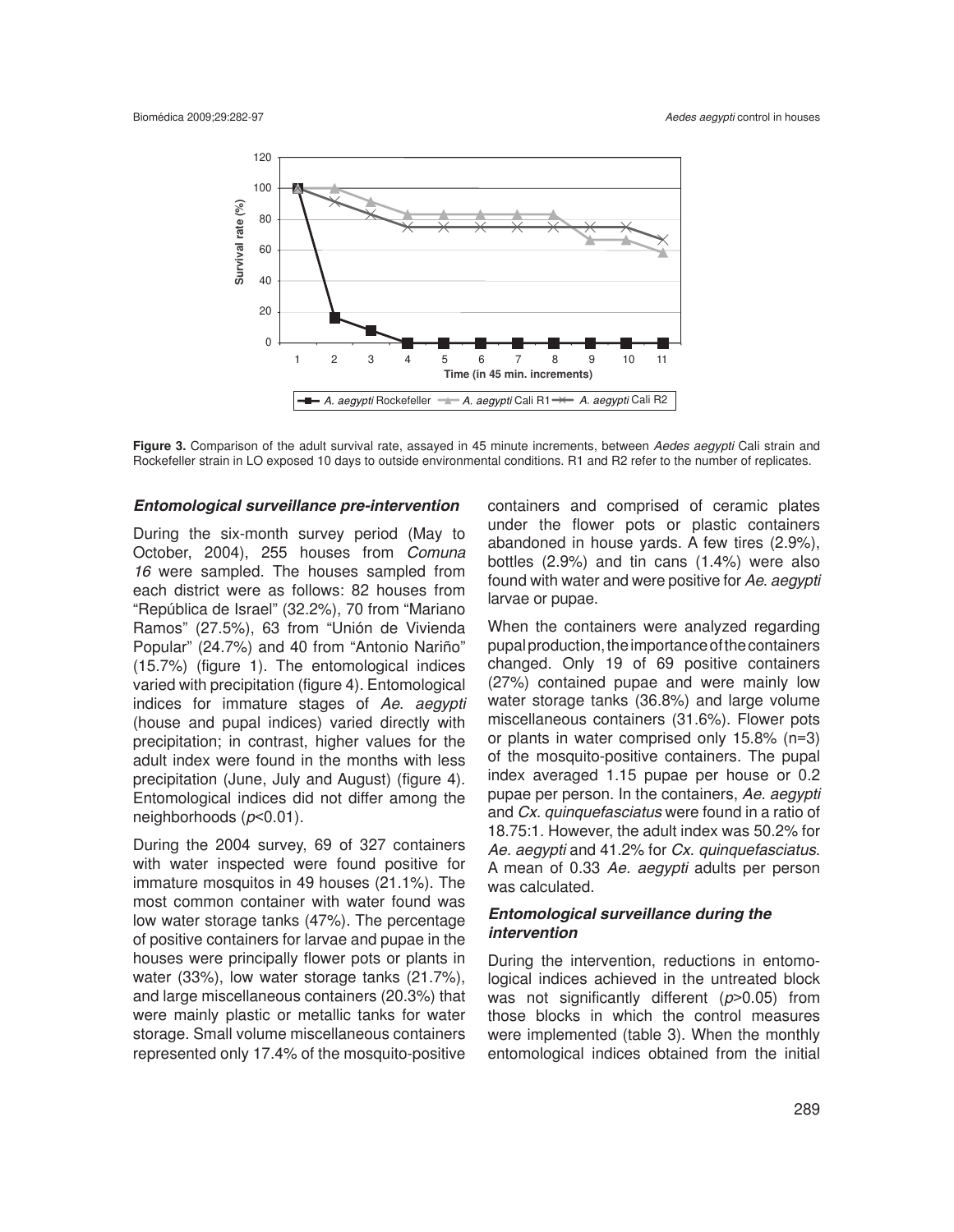

**Figure 3.** Comparison of the adult survival rate, assayed in 45 minute increments, between *Aedes aegypti* Cali strain and Rockefeller strain in LO exposed 10 days to outside environmental conditions. R1 and R2 refer to the number of replicates.

### *Entomological surveillance pre-intervention*

During the six-month survey period (May to October, 2004), 255 houses from *Comuna 16* were sampled. The houses sampled from each district were as follows: 82 houses from "República de Israel" (32.2%), 70 from "Mariano Ramos" (27.5%), 63 from "Unión de Vivienda Popular" (24.7%) and 40 from "Antonio Nariño" (15.7%) (figure 1). The entomological indices varied with precipitation (figure 4). Entomological indices for immature stages of *Ae*. *aegypti* (house and pupal indices) varied directly with precipitation; in contrast, higher values for the adult index were found in the months with less precipitation (June, July and August) (figure 4). Entomological indices did not differ among the neighborhoods (*p*<0.01).

During the 2004 survey, 69 of 327 containers with water inspected were found positive for immature mosquitos in 49 houses (21.1%). The most common container with water found was low water storage tanks (47%). The percentage of positive containers for larvae and pupae in the houses were principally flower pots or plants in water (33%), low water storage tanks (21.7%), and large miscellaneous containers (20.3%) that were mainly plastic or metallic tanks for water storage. Small volume miscellaneous containers represented only 17.4% of the mosquito-positive

containers and comprised of ceramic plates under the flower pots or plastic containers abandoned in house yards. A few tires (2.9%), bottles (2.9%) and tin cans (1.4%) were also found with water and were positive for *Ae*. *aegypti* larvae or pupae.

When the containers were analyzed regarding pupal production, the importance of the containers changed. Only 19 of 69 positive containers (27%) contained pupae and were mainly low water storage tanks (36.8%) and large volume miscellaneous containers (31.6%). Flower pots or plants in water comprised only 15.8% (n=3) of the mosquito-positive containers. The pupal index averaged 1.15 pupae per house or 0.2 pupae per person. In the containers, *Ae. aegypti* and *Cx. quinquefasciatus* were found in a ratio of 18.75:1. However, the adult index was 50.2% for *Ae. aegypti* and 41.2% for *Cx. quinquefasciatus*. A mean of 0.33 *Ae. aegypti* adults per person was calculated.

# *Entomological surveillance during the intervention*

During the intervention, reductions in entomological indices achieved in the untreated block was not significantly different (*p*>0.05) from those blocks in which the control measures were implemented (table 3). When the monthly entomological indices obtained from the initial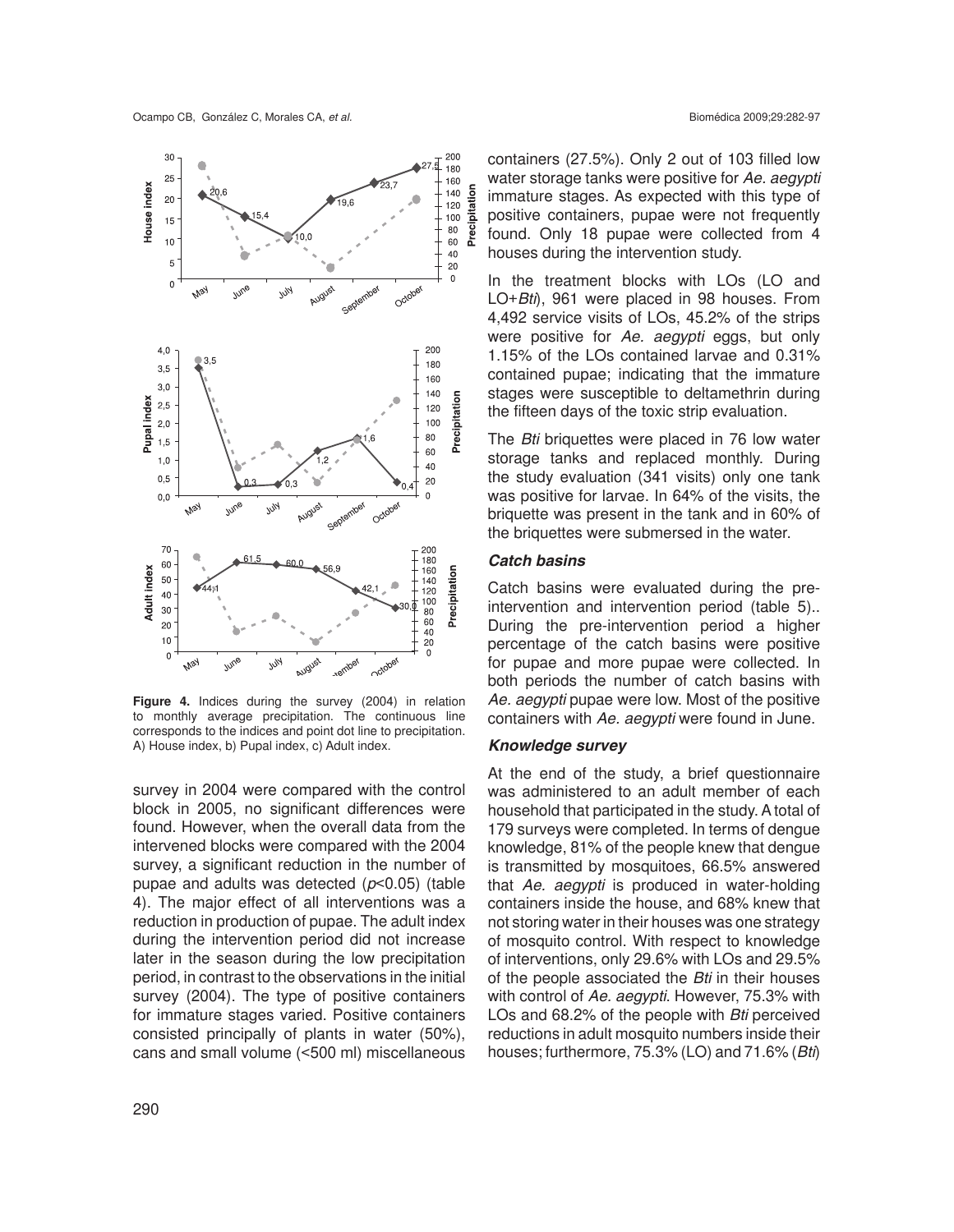

**Figure 4.** Indices during the survey (2004) in relation to monthly average precipitation. The continuous line corresponds to the indices and point dot line to precipitation. A) House index, b) Pupal index, c) Adult index.

survey in 2004 were compared with the control block in 2005, no significant differences were found. However, when the overall data from the intervened blocks were compared with the 2004 survey, a significant reduction in the number of pupae and adults was detected (*p*<0.05) (table 4). The major effect of all interventions was a reduction in production of pupae. The adult index during the intervention period did not increase later in the season during the low precipitation period, in contrast to the observations in the initial survey (2004). The type of positive containers for immature stages varied. Positive containers consisted principally of plants in water (50%), cans and small volume (<500 ml) miscellaneous

containers (27.5%). Only 2 out of 103 filled low water storage tanks were positive for *Ae. aegypti* immature stages. As expected with this type of positive containers, pupae were not frequently found. Only 18 pupae were collected from 4 houses during the intervention study.

In the treatment blocks with LOs (LO and LO+*Bti*), 961 were placed in 98 houses. From 4,492 service visits of LOs, 45.2% of the strips were positive for *Ae. aegypti* eggs, but only 1.15% of the LOs contained larvae and 0.31% contained pupae; indicating that the immature stages were susceptible to deltamethrin during the fifteen days of the toxic strip evaluation.

The *Bti* briquettes were placed in 76 low water storage tanks and replaced monthly. During the study evaluation (341 visits) only one tank was positive for larvae. In 64% of the visits, the briquette was present in the tank and in 60% of the briquettes were submersed in the water.

# *Catch basins*

Catch basins were evaluated during the preintervention and intervention period (table 5).. During the pre-intervention period a higher percentage of the catch basins were positive for pupae and more pupae were collected. In both periods the number of catch basins with *Ae. aegypti* pupae were low. Most of the positive containers with *Ae. aegypti* were found in June.

### *Knowledge survey*

At the end of the study, a brief questionnaire was administered to an adult member of each household that participated in the study. A total of 179 surveys were completed. In terms of dengue knowledge, 81% of the people knew that dengue is transmitted by mosquitoes, 66.5% answered that *Ae. aegypti* is produced in water-holding containers inside the house, and 68% knew that not storing water in their houses was one strategy of mosquito control. With respect to knowledge of interventions, only 29.6% with LOs and 29.5% of the people associated the *Bti* in their houses with control of *Ae. aegypti*. However, 75.3% with LOs and 68.2% of the people with *Bti* perceived reductions in adult mosquito numbers inside their houses; furthermore, 75.3% (LO) and 71.6% (*Bti*)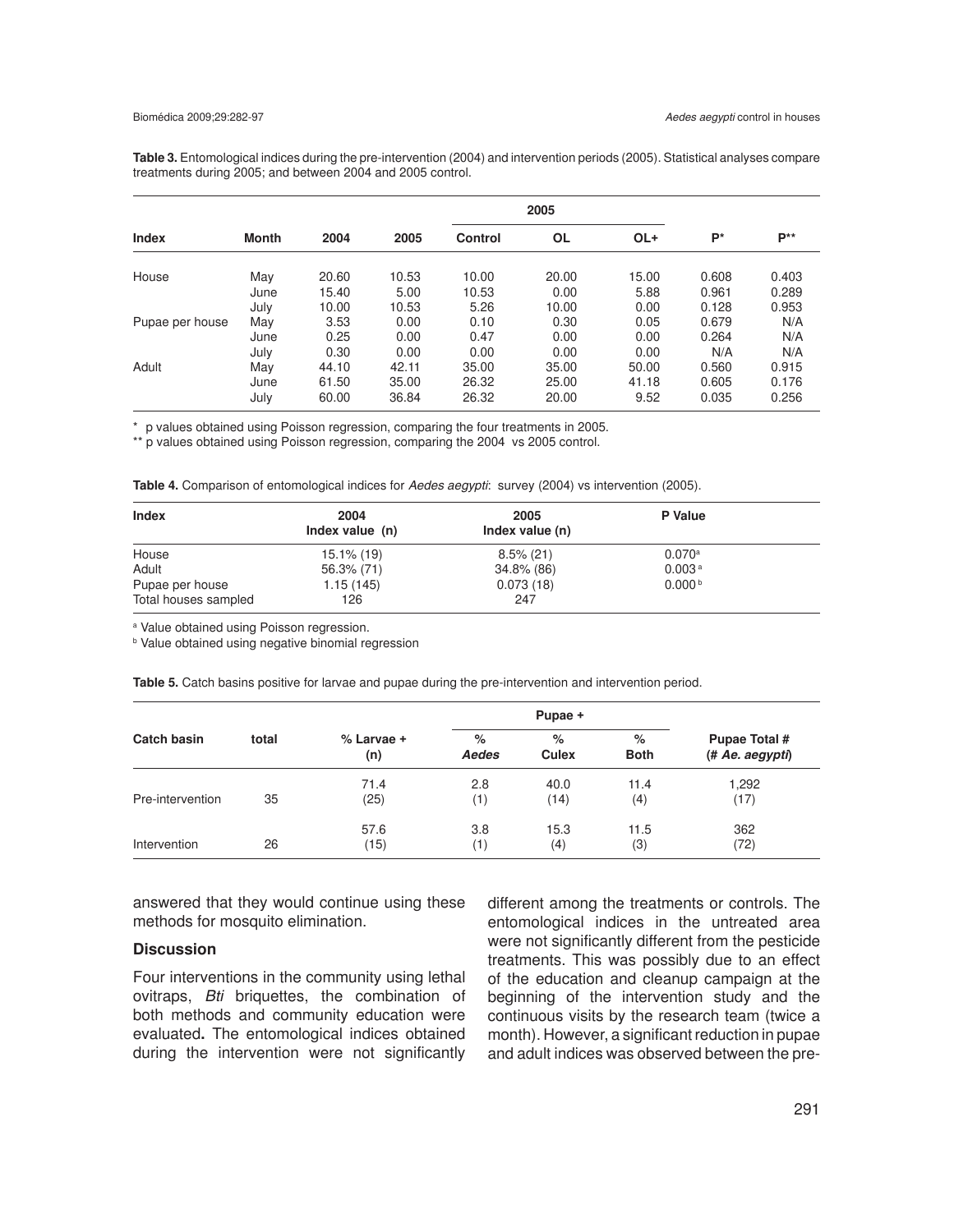**Table 3.** Entomological indices during the pre-intervention (2004) and intervention periods (2005). Statistical analyses compare treatments during 2005; and between 2004 and 2005 control.

|                 |              |                |                |                | 2005           |               |                |                |
|-----------------|--------------|----------------|----------------|----------------|----------------|---------------|----------------|----------------|
| <b>Index</b>    | <b>Month</b> | 2004           | 2005           | <b>Control</b> | <b>OL</b>      | OL+           | $P^*$          | P**            |
| House           | May          | 20.60          | 10.53          | 10.00          | 20.00          | 15.00         | 0.608          | 0.403          |
|                 | June         | 15.40          | 5.00           | 10.53          | 0.00           | 5.88          | 0.961          | 0.289          |
|                 | July         | 10.00          | 10.53          | 5.26           | 10.00          | 0.00          | 0.128          | 0.953          |
| Pupae per house | May          | 3.53           | 0.00           | 0.10           | 0.30           | 0.05          | 0.679          | N/A            |
|                 | June         | 0.25           | 0.00           | 0.47           | 0.00           | 0.00          | 0.264          | N/A            |
|                 | July         | 0.30           | 0.00           | 0.00           | 0.00           | 0.00          | N/A            | N/A            |
| Adult           | May          | 44.10          | 42.11          | 35.00          | 35.00          | 50.00         | 0.560          | 0.915          |
|                 | June<br>July | 61.50<br>60.00 | 35.00<br>36.84 | 26.32<br>26.32 | 25.00<br>20.00 | 41.18<br>9.52 | 0.605<br>0.035 | 0.176<br>0.256 |

\* p values obtained using Poisson regression, comparing the four treatments in 2005.

\*\* p values obtained using Poisson regression, comparing the 2004 vs 2005 control.

|  |  | Table 4. Comparison of entomological indices for Aedes aegypti: survey (2004) vs intervention (2005). |  |  |  |  |
|--|--|-------------------------------------------------------------------------------------------------------|--|--|--|--|
|--|--|-------------------------------------------------------------------------------------------------------|--|--|--|--|

| <b>Index</b>         | 2004<br>Index value (n) | 2005<br>Index value (n) | P Value            |  |
|----------------------|-------------------------|-------------------------|--------------------|--|
| House                | $15.1\%$ (19)           | $8.5\%$ (21)            | 0.070a             |  |
| Adult                | 56.3% (71)              | 34.8% (86)              | 0.003 <sup>a</sup> |  |
| Pupae per house      | 1.15(145)               | 0.073(18)               | 0.000 <sup>b</sup> |  |
| Total houses sampled | 126                     | 247                     |                    |  |

a Value obtained using Poisson regression.

**b** Value obtained using negative binomial regression

|                  |       |                   |               | Pupae +           |                  |                                  |  |
|------------------|-------|-------------------|---------------|-------------------|------------------|----------------------------------|--|
| Catch basin      | total | % Larvae +<br>(n) | $\%$<br>Aedes | %<br><b>Culex</b> | %<br><b>Both</b> | Pupae Total #<br>(# Ae. aegypti) |  |
| Pre-intervention | 35    | 71.4<br>(25)      | 2.8<br>(1)    | 40.0<br>(14)      | 11.4<br>(4)      | 1,292<br>(17)                    |  |
| Intervention     | 26    | 57.6<br>(15)      | 3.8<br>(1)    | 15.3<br>(4)       | 11.5<br>(3)      | 362<br>(72)                      |  |

**Table 5.** Catch basins positive for larvae and pupae during the pre-intervention and intervention period.

answered that they would continue using these methods for mosquito elimination.

### **Discussion**

Four interventions in the community using lethal ovitraps, *Bti* briquettes, the combination of both methods and community education were evaluated**.** The entomological indices obtained during the intervention were not significantly different among the treatments or controls. The entomological indices in the untreated area were not significantly different from the pesticide treatments. This was possibly due to an effect of the education and cleanup campaign at the beginning of the intervention study and the continuous visits by the research team (twice a month). However, a significant reduction in pupae and adult indices was observed between the pre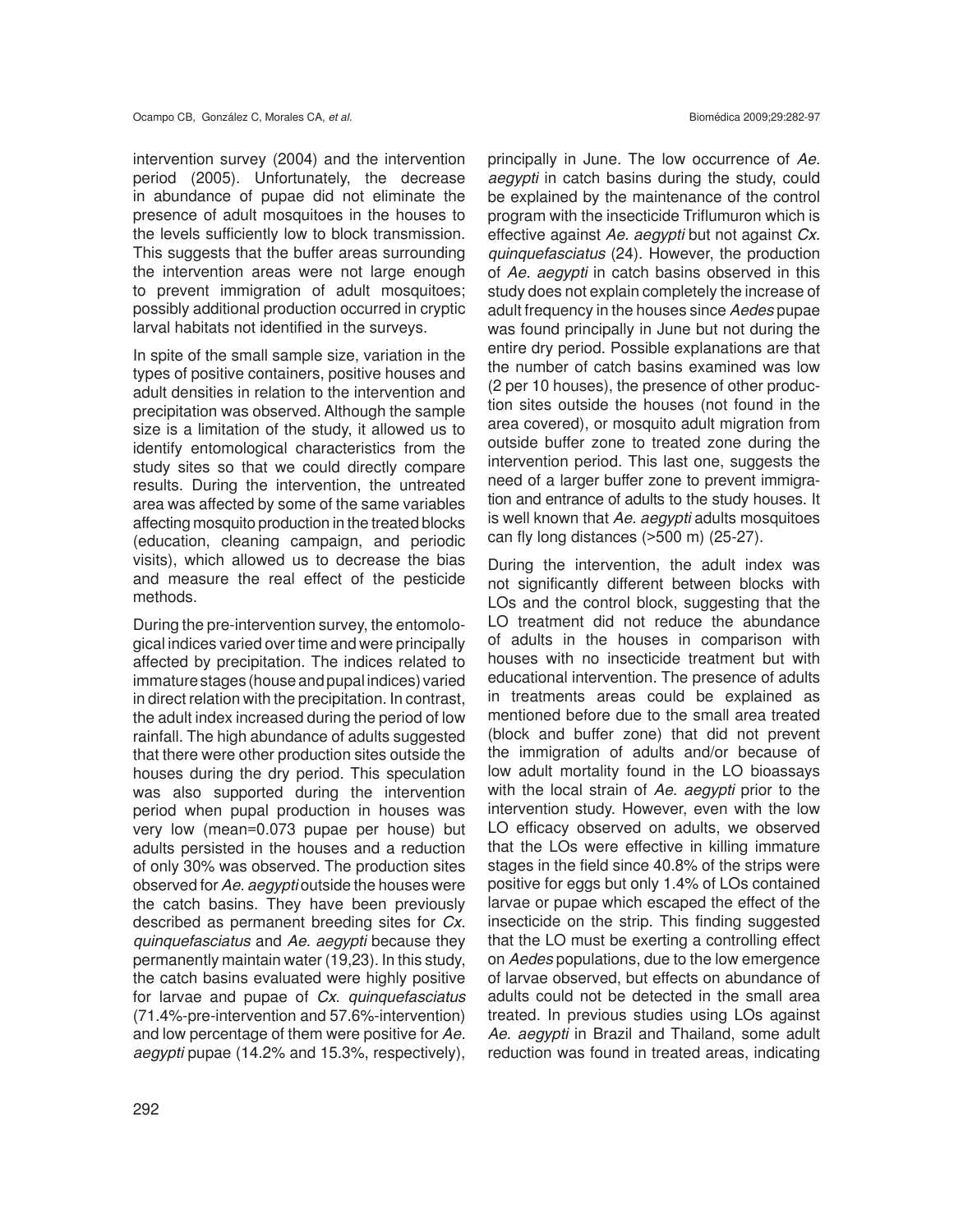intervention survey (2004) and the intervention period (2005). Unfortunately, the decrease in abundance of pupae did not eliminate the presence of adult mosquitoes in the houses to the levels sufficiently low to block transmission. This suggests that the buffer areas surrounding the intervention areas were not large enough to prevent immigration of adult mosquitoes; possibly additional production occurred in cryptic larval habitats not identified in the surveys.

In spite of the small sample size, variation in the types of positive containers, positive houses and adult densities in relation to the intervention and precipitation was observed. Although the sample size is a limitation of the study, it allowed us to identify entomological characteristics from the study sites so that we could directly compare results. During the intervention, the untreated area was affected by some of the same variables affecting mosquito production in the treated blocks (education, cleaning campaign, and periodic visits), which allowed us to decrease the bias and measure the real effect of the pesticide methods.

During the pre-intervention survey, the entomological indices varied over time and were principally affected by precipitation. The indices related to immature stages (house and pupal indices) varied in direct relation with the precipitation. In contrast, the adult index increased during the period of low rainfall. The high abundance of adults suggested that there were other production sites outside the houses during the dry period. This speculation was also supported during the intervention period when pupal production in houses was very low (mean=0.073 pupae per house) but adults persisted in the houses and a reduction of only 30% was observed. The production sites observed for *Ae. aegypti* outside the houses were the catch basins. They have been previously described as permanent breeding sites for *Cx*. *quinquefasciatus* and *Ae. aegypti* because they permanently maintain water (19,23). In this study, the catch basins evaluated were highly positive for larvae and pupae of *Cx*. *quinquefasciatus* (71.4%-pre-intervention and 57.6%-intervention) and low percentage of them were positive for *Ae. aegypti* pupae (14.2% and 15.3%, respectively),

principally in June. The low occurrence of *Ae. aegypti* in catch basins during the study, could be explained by the maintenance of the control program with the insecticide Triflumuron which is effective against *Ae. aegypti* but not against *Cx. quinquefasciatus* (24). However, the production of *Ae. aegypti* in catch basins observed in this study does not explain completely the increase of adult frequency in the houses since *Aedes* pupae was found principally in June but not during the entire dry period. Possible explanations are that the number of catch basins examined was low (2 per 10 houses), the presence of other production sites outside the houses (not found in the area covered), or mosquito adult migration from outside buffer zone to treated zone during the intervention period. This last one, suggests the need of a larger buffer zone to prevent immigration and entrance of adults to the study houses. It is well known that *Ae. aegypti* adults mosquitoes can fly long distances (>500 m) (25-27).

During the intervention, the adult index was not significantly different between blocks with LOs and the control block, suggesting that the LO treatment did not reduce the abundance of adults in the houses in comparison with houses with no insecticide treatment but with educational intervention. The presence of adults in treatments areas could be explained as mentioned before due to the small area treated (block and buffer zone) that did not prevent the immigration of adults and/or because of low adult mortality found in the LO bioassays with the local strain of *Ae. aegypti* prior to the intervention study. However, even with the low LO efficacy observed on adults, we observed that the LOs were effective in killing immature stages in the field since 40.8% of the strips were positive for eggs but only 1.4% of LOs contained larvae or pupae which escaped the effect of the insecticide on the strip. This finding suggested that the LO must be exerting a controlling effect on *Aedes* populations, due to the low emergence of larvae observed, but effects on abundance of adults could not be detected in the small area treated. In previous studies using LOs against *Ae*. *aegypti* in Brazil and Thailand, some adult reduction was found in treated areas, indicating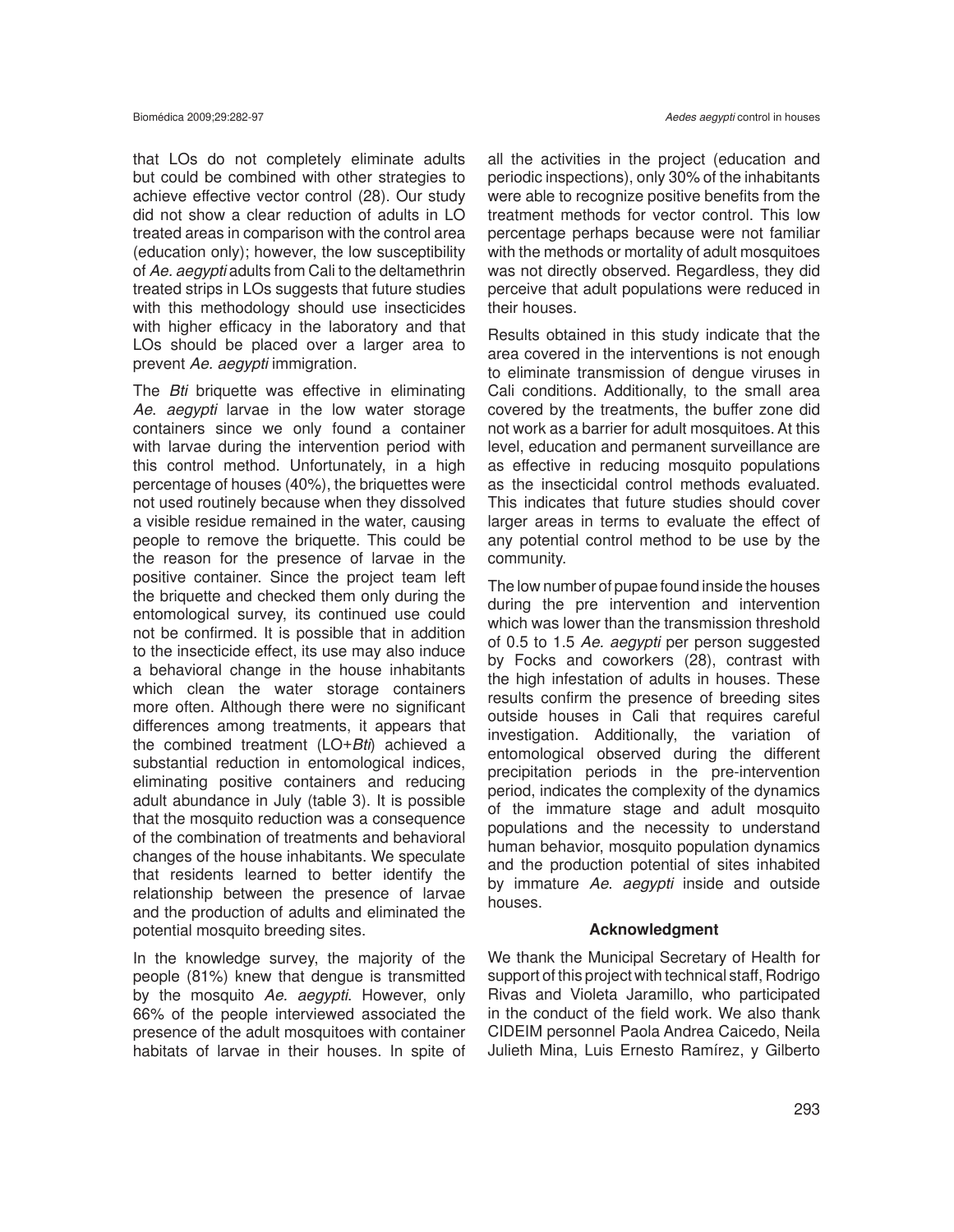that LOs do not completely eliminate adults but could be combined with other strategies to achieve effective vector control (28). Our study did not show a clear reduction of adults in LO treated areas in comparison with the control area (education only); however, the low susceptibility of *Ae. aegypti* adults from Cali to the deltamethrin treated strips in LOs suggests that future studies with this methodology should use insecticides with higher efficacy in the laboratory and that LOs should be placed over a larger area to prevent *Ae. aegypti* immigration.

The *Bti* briquette was effective in eliminating *Ae*. *aegypti* larvae in the low water storage containers since we only found a container with larvae during the intervention period with this control method. Unfortunately, in a high percentage of houses (40%), the briquettes were not used routinely because when they dissolved a visible residue remained in the water, causing people to remove the briquette. This could be the reason for the presence of larvae in the positive container. Since the project team left the briquette and checked them only during the entomological survey, its continued use could not be confirmed. It is possible that in addition to the insecticide effect, its use may also induce a behavioral change in the house inhabitants which clean the water storage containers more often. Although there were no significant differences among treatments, it appears that the combined treatment (LO+*Bti*) achieved a substantial reduction in entomological indices, eliminating positive containers and reducing adult abundance in July (table 3). It is possible that the mosquito reduction was a consequence of the combination of treatments and behavioral changes of the house inhabitants. We speculate that residents learned to better identify the relationship between the presence of larvae and the production of adults and eliminated the potential mosquito breeding sites.

In the knowledge survey, the majority of the people (81%) knew that dengue is transmitted by the mosquito *Ae. aegypti*. However, only 66% of the people interviewed associated the presence of the adult mosquitoes with container habitats of larvae in their houses. In spite of

all the activities in the project (education and periodic inspections), only 30% of the inhabitants were able to recognize positive benefits from the treatment methods for vector control. This low percentage perhaps because were not familiar with the methods or mortality of adult mosquitoes was not directly observed. Regardless, they did perceive that adult populations were reduced in their houses.

Results obtained in this study indicate that the area covered in the interventions is not enough to eliminate transmission of dengue viruses in Cali conditions. Additionally, to the small area covered by the treatments, the buffer zone did not work as a barrier for adult mosquitoes. At this level, education and permanent surveillance are as effective in reducing mosquito populations as the insecticidal control methods evaluated. This indicates that future studies should cover larger areas in terms to evaluate the effect of any potential control method to be use by the community.

The low number of pupae found inside the houses during the pre intervention and intervention which was lower than the transmission threshold of 0.5 to 1.5 *Ae. aegypti* per person suggested by Focks and coworkers (28), contrast with the high infestation of adults in houses. These results confirm the presence of breeding sites outside houses in Cali that requires careful investigation. Additionally, the variation of entomological observed during the different precipitation periods in the pre-intervention period, indicates the complexity of the dynamics of the immature stage and adult mosquito populations and the necessity to understand human behavior, mosquito population dynamics and the production potential of sites inhabited by immature *Ae*. *aegypti* inside and outside houses.

### **Acknowledgment**

We thank the Municipal Secretary of Health for support of this project with technical staff, Rodrigo Rivas and Violeta Jaramillo, who participated in the conduct of the field work. We also thank CIDEIM personnel Paola Andrea Caicedo, Neila Julieth Mina, Luis Ernesto Ramírez, y Gilberto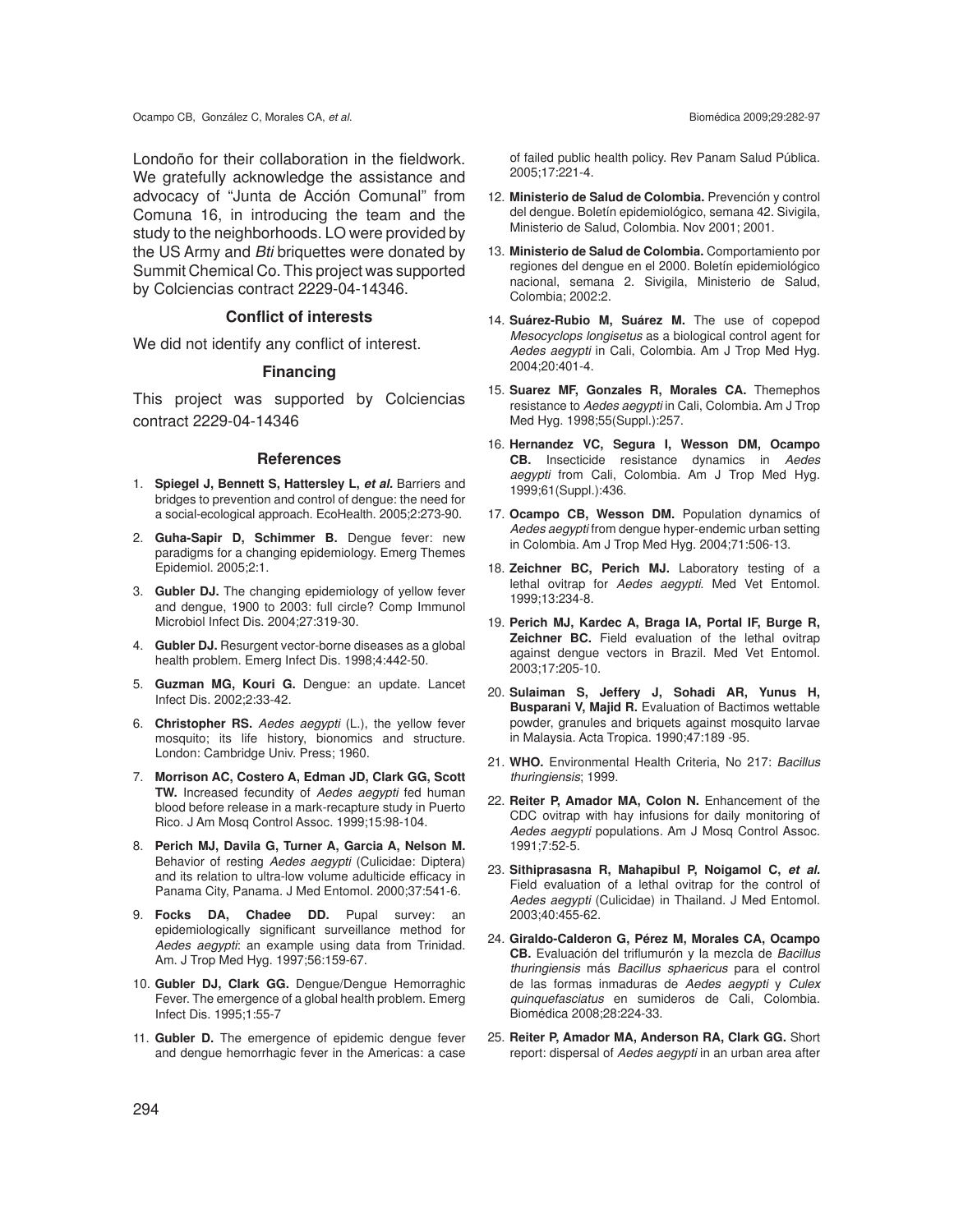Londoño for their collaboration in the fieldwork. We gratefully acknowledge the assistance and advocacy of "Junta de Acción Comunal" from Comuna 16, in introducing the team and the study to the neighborhoods. LO were provided by the US Army and *Bti* briquettes were donated by Summit Chemical Co. This project was supported by Colciencias contract 2229-04-14346.

### **Conflict of interests**

We did not identify any conflict of interest.

#### **Financing**

This project was supported by Colciencias contract 2229-04-14346

#### **References**

- 1. **Spiegel J, Bennett S, Hattersley L,** *et al.* Barriers and bridges to prevention and control of dengue: the need for a social-ecological approach. EcoHealth. 2005;2:273-90.
- 2. **Guha-Sapir D, Schimmer B.** Dengue fever: new paradigms for a changing epidemiology. Emerg Themes Epidemiol. 2005;2:1.
- 3. **Gubler DJ.** The changing epidemiology of yellow fever and dengue, 1900 to 2003: full circle? Comp Immunol Microbiol Infect Dis. 2004;27:319-30.
- 4. **Gubler DJ.** Resurgent vector-borne diseases as a global health problem. Emerg Infect Dis. 1998;4:442-50.
- 5. **Guzman MG, Kouri G.** Dengue: an update. Lancet Infect Dis. 2002;2:33-42.
- 6. **Christopher RS.** *Aedes aegypti* (L.), the yellow fever mosquito; its life history, bionomics and structure. London: Cambridge Univ. Press; 1960.
- 7. **Morrison AC, Costero A, Edman JD, Clark GG, Scott TW.** Increased fecundity of *Aedes aegypti* fed human blood before release in a mark-recapture study in Puerto Rico. J Am Mosq Control Assoc. 1999;15:98-104.
- 8. **Perich MJ, Davila G, Turner A, Garcia A, Nelson M.** Behavior of resting *Aedes aegypti* (Culicidae: Diptera) and its relation to ultra-low volume adulticide efficacy in Panama City, Panama. J Med Entomol. 2000;37:541-6.
- 9. **Focks DA, Chadee DD.** Pupal survey: an epidemiologically significant surveillance method for *Aedes aegypti*: an example using data from Trinidad. Am. J Trop Med Hyg. 1997;56:159-67.
- 10. **Gubler DJ, Clark GG.** Dengue/Dengue Hemorraghic Fever. The emergence of a global health problem. Emerg Infect Dis. 1995;1:55-7
- 11. **Gubler D.** The emergence of epidemic dengue fever and dengue hemorrhagic fever in the Americas: a case

of failed public health policy. Rev Panam Salud Pública. 2005;17:221-4.

- 12. **Ministerio de Salud de Colombia.** Prevención y control del dengue. Boletín epidemiológico, semana 42. Sivigila, Ministerio de Salud, Colombia. Nov 2001; 2001.
- 13. **Ministerio de Salud de Colombia.** Comportamiento por regiones del dengue en el 2000. Boletín epidemiológico nacional, semana 2. Sivigila, Ministerio de Salud, Colombia; 2002:2.
- 14. **Suárez-Rubio M, Suárez M.** The use of copepod *Mesocyclops longisetus* as a biological control agent for *Aedes aegypti* in Cali, Colombia. Am J Trop Med Hyg. 2004;20:401-4.
- 15. **Suarez MF, Gonzales R, Morales CA.** Themephos resistance to *Aedes aegypti* in Cali, Colombia. Am J Trop Med Hyg. 1998;55(Suppl.):257.
- 16. **Hernandez VC, Segura I, Wesson DM, Ocampo CB.** Insecticide resistance dynamics in *Aedes aegypti* from Cali, Colombia. Am J Trop Med Hyg. 1999;61(Suppl.):436.
- 17. **Ocampo CB, Wesson DM.** Population dynamics of *Aedes aegypti* from dengue hyper-endemic urban setting in Colombia. Am J Trop Med Hyg. 2004;71:506-13.
- 18. **Zeichner BC, Perich MJ.** Laboratory testing of a lethal ovitrap for *Aedes aegypti*. Med Vet Entomol. 1999;13:234-8.
- 19. **Perich MJ, Kardec A, Braga IA, Portal IF, Burge R, Zeichner BC.** Field evaluation of the lethal ovitrap against dengue vectors in Brazil. Med Vet Entomol. 2003;17:205-10.
- 20. **Sulaiman S, Jeffery J, Sohadi AR, Yunus H, Busparani V, Majid R.** Evaluation of Bactimos wettable powder, granules and briquets against mosquito larvae in Malaysia. Acta Tropica. 1990;47:189 -95.
- 21. **WHO.** Environmental Health Criteria, No 217: *Bacillus thuringiensis*; 1999.
- 22. **Reiter P, Amador MA, Colon N.** Enhancement of the CDC ovitrap with hay infusions for daily monitoring of *Aedes aegypti* populations. Am J Mosq Control Assoc. 1991;7:52-5.
- 23. **Sithiprasasna R, Mahapibul P, Noigamol C,** *et al.* Field evaluation of a lethal ovitrap for the control of *Aedes aegypti* (Culicidae) in Thailand. J Med Entomol. 2003;40:455-62.
- 24. **Giraldo-Calderon G, Pérez M, Morales CA, Ocampo CB.** Evaluación del triflumurón y la mezcla de *Bacillus thuringiensis* más *Bacillus sphaericus* para el control de las formas inmaduras de *Aedes aegypti* y *Culex quinquefasciatus* en sumideros de Cali, Colombia. Biomédica 2008;28:224-33.
- 25. **Reiter P, Amador MA, Anderson RA, Clark GG.** Short report: dispersal of *Aedes aegypti* in an urban area after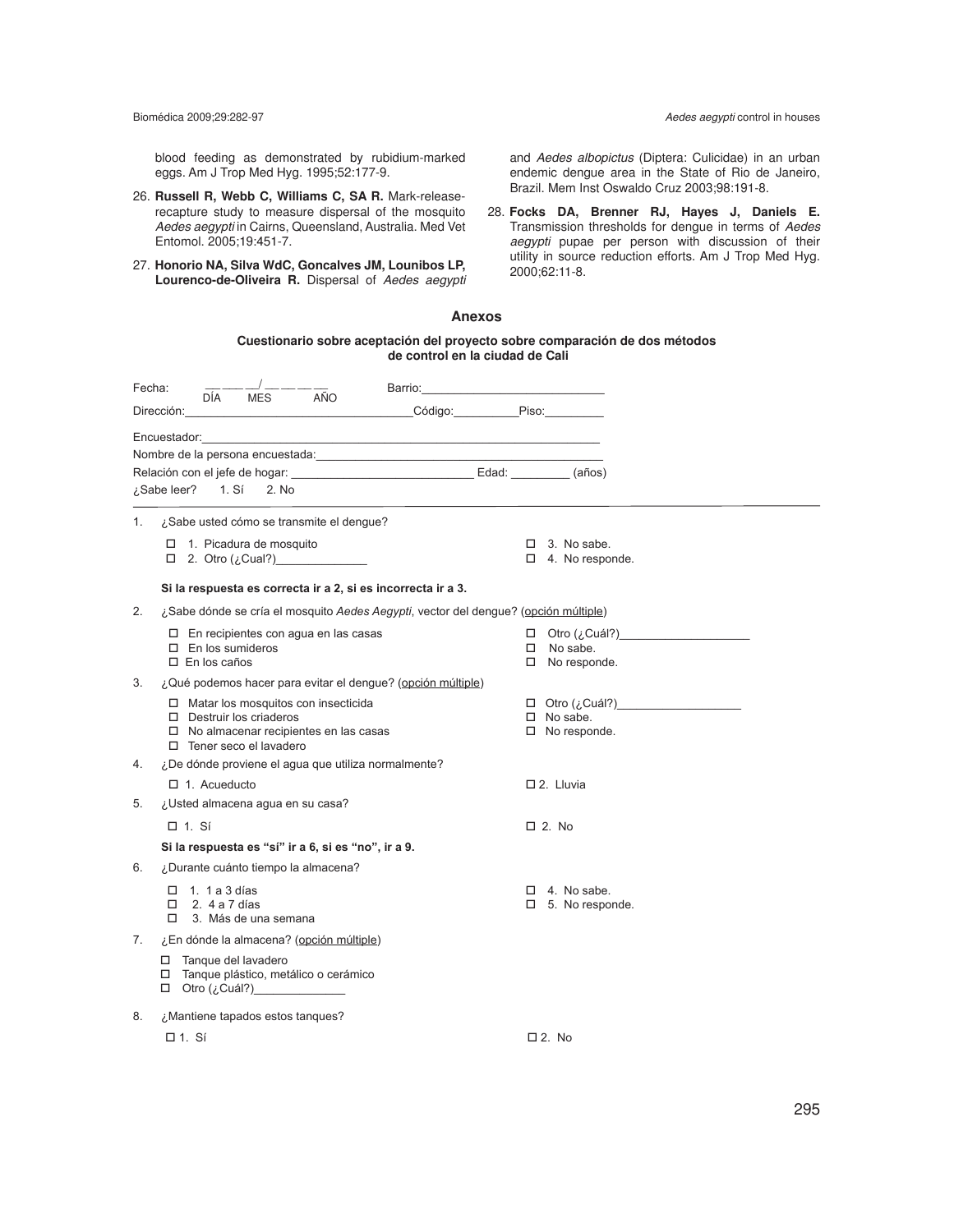blood feeding as demonstrated by rubidium-marked eggs. Am J Trop Med Hyg. 1995;52:177-9.

- 26. **Russell R, Webb C, Williams C, SA R.** Mark-releaserecapture study to measure dispersal of the mosquito *Aedes aegypti* in Cairns, Queensland, Australia. Med Vet Entomol. 2005;19:451-7.
- 27. **Honorio NA, Silva WdC, Goncalves JM, Lounibos LP, Lourenco-de-Oliveira R.** Dispersal of *Aedes aegypti*

and *Aedes albopictus* (Diptera: Culicidae) in an urban endemic dengue area in the State of Rio de Janeiro, Brazil. Mem Inst Oswaldo Cruz 2003;98:191-8.

28. **Focks DA, Brenner RJ, Hayes J, Daniels E.** Transmission thresholds for dengue in terms of *Aedes aegypti* pupae per person with discussion of their utility in source reduction efforts. Am J Trop Med Hyg. 2000;62:11-8.

#### **Anexos**

#### **Cuestionario sobre aceptación del proyecto sobre comparación de dos métodos de control en la ciudad de Cali**

| Fecha: | AÑO<br><b>MES</b><br>DÍA                                                                                                                                                                                                       | Barrio:       |                                              |                             |
|--------|--------------------------------------------------------------------------------------------------------------------------------------------------------------------------------------------------------------------------------|---------------|----------------------------------------------|-----------------------------|
|        | Dirección:                                                                                                                                                                                                                     | Código: Piso: |                                              |                             |
|        | Encuestador: en el control de la control de la control de la control de la control de la control de la control de la control de la control de la control de la control de la control de la control de la control de la control |               |                                              |                             |
|        | ¿Sabe leer?<br>1. Sí<br>2. No                                                                                                                                                                                                  |               |                                              |                             |
| 1.     | ¿Sabe usted cómo se transmite el dengue?                                                                                                                                                                                       |               |                                              |                             |
|        | $\Box$ 1. Picadura de mosquito<br>$\Box$ 2. Otro ( $\lambda$ Cual?)                                                                                                                                                            |               | $\Box$ 3. No sabe.<br>$\Box$ 4. No responde. |                             |
|        | Si la respuesta es correcta ir a 2, si es incorrecta ir a 3.                                                                                                                                                                   |               |                                              |                             |
| 2.     | ¿Sabe dónde se cría el mosquito Aedes Aegypti, vector del dengue? (opción múltiple)                                                                                                                                            |               |                                              |                             |
|        | $\Box$ En recipientes con agua en las casas<br>$\Box$ En los sumideros<br>$\Box$ En los caños                                                                                                                                  |               | $\Box$ No sabe.<br>$\Box$ No responde.       |                             |
| 3.     | ¿Qué podemos hacer para evitar el dengue? (opción múltiple)                                                                                                                                                                    |               |                                              |                             |
|        | □ Matar los mosquitos con insecticida<br>$\Box$ Destruir los criaderos<br>$\Box$ No almacenar recipientes en las casas<br>□ Tener seco el lavadero                                                                             |               | $\Box$ No sabe.<br>$\Box$ No responde.       | $\Box$ Otro (¿Cuál?) $\Box$ |
| 4.     | ¿De dónde proviene el agua que utiliza normalmente?                                                                                                                                                                            |               |                                              |                             |
|        | $\Box$ 1. Acueducto                                                                                                                                                                                                            |               | $\square$ 2. Lluvia                          |                             |
| 5.     | ¿Usted almacena agua en su casa?                                                                                                                                                                                               |               |                                              |                             |
|        | $\Box$ 1. Sí                                                                                                                                                                                                                   |               | $\Box$ 2. No                                 |                             |
|        | Si la respuesta es "sí" ir a 6, si es "no", ir a 9.                                                                                                                                                                            |               |                                              |                             |
| 6.     | ¿Durante cuánto tiempo la almacena?                                                                                                                                                                                            |               |                                              |                             |
|        | $\Box$ 1. 1 a 3 días<br>П.<br>2.4 a 7 días<br>3. Más de una semana<br>п.                                                                                                                                                       |               | $\Box$ 4. No sabe.<br>$\Box$ 5. No responde. |                             |
| 7.     | ¿En dónde la almacena? (opción múltiple)                                                                                                                                                                                       |               |                                              |                             |
|        | □ Tanque del lavadero<br>□ Tanque plástico, metálico o cerámico<br>$\Box$ Otro (¿Cuál?) $\Box$                                                                                                                                 |               |                                              |                             |
| 8.     | ¿Mantiene tapados estos tanques?                                                                                                                                                                                               |               |                                              |                             |
|        | $\Box$ 1. Sí                                                                                                                                                                                                                   |               | $\square$ 2. No                              |                             |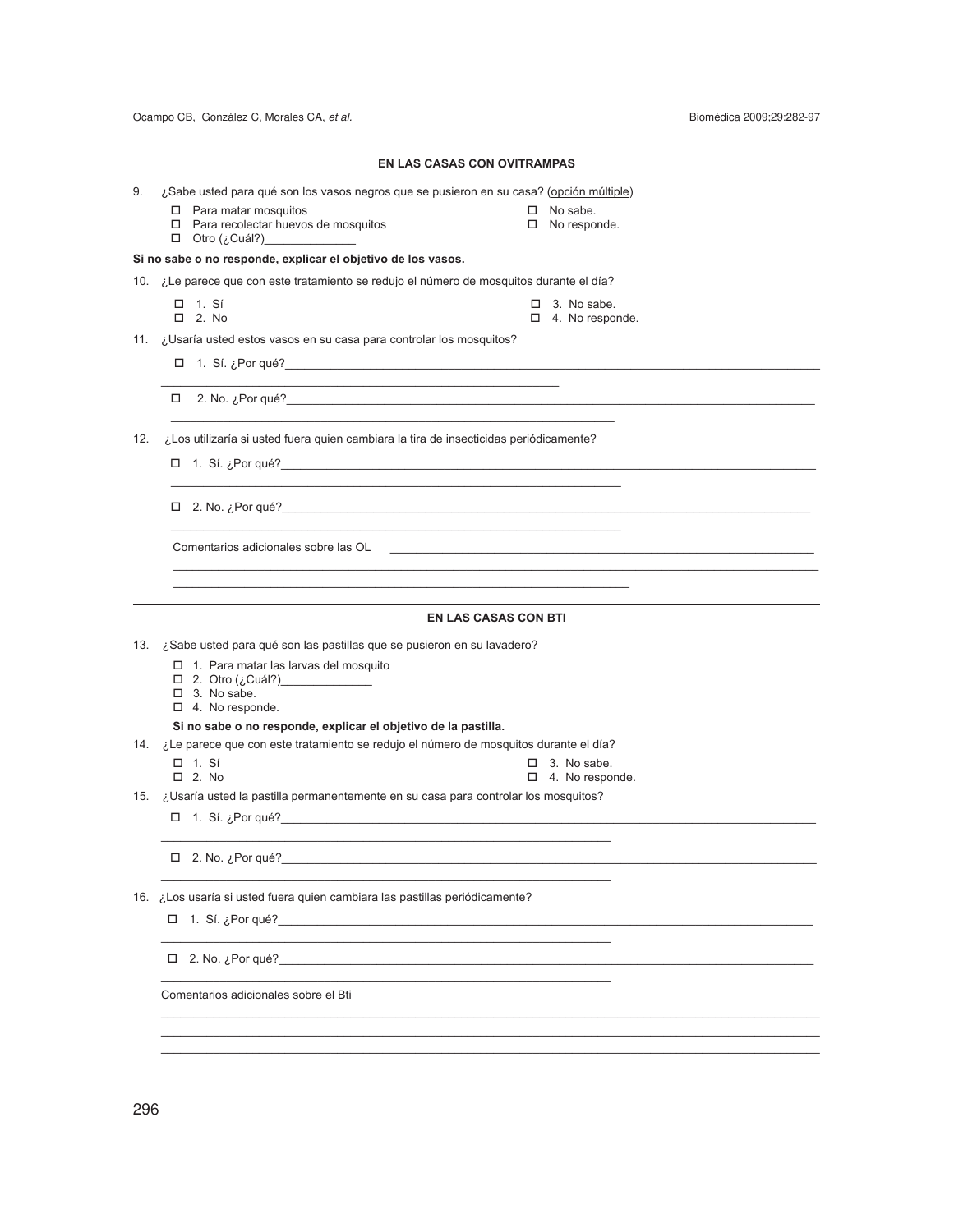#### **EN LAS CASAS CON OVITRAMPAS**

\_\_\_\_\_\_\_\_\_\_\_\_\_\_\_\_\_\_\_\_\_\_\_\_\_\_\_\_\_\_\_\_\_\_\_\_\_\_\_\_\_\_\_\_\_\_\_\_\_\_\_\_\_\_\_\_\_\_\_\_\_

|  |  | 9. <i>i</i> Sabe usted para qué son los vasos negros que se pusieron en su casa? (opción múltiple) |  |
|--|--|----------------------------------------------------------------------------------------------------|--|
|--|--|----------------------------------------------------------------------------------------------------|--|

- 
- $\Box$  Para matar mosquitos  $\Box$  Para recolectar huevos de mosquitos  $\Box$  No sabe.  $\Box$  No responde.  $\Box$  Para recolectar huevos de mosquitos
- o Otro (¿Cuál?)\_\_\_\_\_\_\_\_\_\_\_\_\_\_

**Si no sabe o no responde, explicar el objetivo de los vasos.**

10. ¿Le parece que con este tratamiento se redujo el número de mosquitos durante el día?

- $\Box$  1. Sí  $\Box$  2. No sabe.<br> $\Box$  2. No  $\Box$  2. No  $\Box$  3. No sabe.
	- $\Box$  4. No responde.

11. ¿Usaría usted estos vasos en su casa para controlar los mosquitos?

o 1. Sí. ¿Por qué?\_\_\_\_\_\_\_\_\_\_\_\_\_\_\_\_\_\_\_\_\_\_\_\_\_\_\_\_\_\_\_\_\_\_\_\_\_\_\_\_\_\_\_\_\_\_\_\_\_\_\_\_\_\_\_\_\_\_\_\_\_\_\_\_\_\_\_\_\_\_\_\_\_\_\_\_\_\_\_\_\_\_

 $\Box$  2. No.  $\zeta$ Por qué?

12. ¿Los utilizaría si usted fuera quien cambiara la tira de insecticidas periódicamente?

 $\overline{\phantom{a}}$  , and the set of the set of the set of the set of the set of the set of the set of the set of the set of the set of the set of the set of the set of the set of the set of the set of the set of the set of the s

 $\overline{\phantom{a}}$  , and the set of the set of the set of the set of the set of the set of the set of the set of the set of the set of the set of the set of the set of the set of the set of the set of the set of the set of the s

 $\overline{\phantom{a}}$  , and the set of the set of the set of the set of the set of the set of the set of the set of the set of the set of the set of the set of the set of the set of the set of the set of the set of the set of the s

\_\_\_\_\_\_\_\_\_\_\_\_\_\_\_\_\_\_\_\_\_\_\_\_\_\_\_\_\_\_\_\_\_\_\_\_\_\_\_\_\_\_\_\_\_\_\_\_\_\_\_\_\_\_\_\_\_\_\_\_\_\_\_\_\_\_\_\_\_\_

 $\Box$  1. Sí. ¿Por qué?

 $\Box$  2. No.  $\lambda$  Por qué?

Comentarios adicionales sobre las OL

#### **EN LAS CASAS CON BTI**

\_\_\_\_\_\_\_\_\_\_\_\_\_\_\_\_\_\_\_\_\_\_\_\_\_\_\_\_\_\_\_\_\_\_\_\_\_\_\_\_\_\_\_\_\_\_\_\_\_\_\_\_\_\_\_\_\_\_\_\_\_\_\_\_\_\_\_\_\_\_\_\_\_\_\_\_\_\_\_\_\_\_\_\_\_\_\_\_\_\_\_\_\_\_\_\_\_\_\_

13. ¿Sabe usted para qué son las pastillas que se pusieron en su lavadero?

- $\Box$  1. Para matar las larvas del mosquito
- o 2. Otro (¿Cuál?)\_\_\_\_\_\_\_\_\_\_\_\_\_\_
- $\Box$  3. No sabe.  $\Box$  4. No responde.
- 

### **Si no sabe o no responde, explicar el objetivo de la pastilla.**

- 14. ¿Le parece que con este tratamiento se redujo el número de mosquitos durante el día?
	- $\Box$  1. Sí  $\Box$  2. No sabe.<br> $\Box$  2. No  $\Box$  2. No  $\Box$  4. No respo
		-

\_\_\_\_\_\_\_\_\_\_\_\_\_\_\_\_\_\_\_\_\_\_\_\_\_\_\_\_\_\_\_\_\_\_\_\_\_\_\_\_\_\_\_\_\_\_\_\_\_\_\_\_\_\_\_\_\_\_\_\_\_\_\_\_\_\_\_\_\_\_\_\_\_\_\_\_\_\_\_\_\_\_\_\_\_\_\_\_\_\_\_\_\_\_\_\_\_\_\_\_\_ \_\_\_\_\_\_\_\_\_\_\_\_\_\_\_\_\_\_\_\_\_\_\_\_\_\_\_\_\_\_\_\_\_\_\_\_\_\_\_\_\_\_\_\_\_\_\_\_\_\_\_\_\_\_\_\_\_\_\_\_\_\_\_\_\_\_\_\_\_\_\_\_\_\_\_\_\_\_\_\_\_\_\_\_\_\_\_\_\_\_\_\_\_\_\_\_\_\_\_\_\_ \_\_\_\_\_\_\_\_\_\_\_\_\_\_\_\_\_\_\_\_\_\_\_\_\_\_\_\_\_\_\_\_\_\_\_\_\_\_\_\_\_\_\_\_\_\_\_\_\_\_\_\_\_\_\_\_\_\_\_\_\_\_\_\_\_\_\_\_\_\_\_\_\_\_\_\_\_\_\_\_\_\_\_\_\_\_\_\_\_\_\_\_\_\_\_\_\_\_\_\_\_

 $\mathcal{L}_\text{max} = \mathcal{L}_\text{max} = \frac{1}{2} \sum_{i=1}^{n} \frac{1}{2} \sum_{i=1}^{n} \frac{1}{2} \sum_{i=1}^{n} \frac{1}{2} \sum_{i=1}^{n} \frac{1}{2} \sum_{i=1}^{n} \frac{1}{2} \sum_{i=1}^{n} \frac{1}{2} \sum_{i=1}^{n} \frac{1}{2} \sum_{i=1}^{n} \frac{1}{2} \sum_{i=1}^{n} \frac{1}{2} \sum_{i=1}^{n} \frac{1}{2} \sum_{i=1}^{n} \frac{1}{2} \sum$ 

15. ¿Usaría usted la pastilla permanentemente en su casa para controlar los mosquitos?

\_\_\_\_\_\_\_\_\_\_\_\_\_\_\_\_\_\_\_\_\_\_\_\_\_\_\_\_\_\_\_\_\_\_\_\_\_\_\_\_\_\_\_\_\_\_\_\_\_\_\_\_\_\_\_\_\_\_\_\_\_\_\_\_\_\_\_\_\_

\_\_\_\_\_\_\_\_\_\_\_\_\_\_\_\_\_\_\_\_\_\_\_\_\_\_\_\_\_\_\_\_\_\_\_\_\_\_\_\_\_\_\_\_\_\_\_\_\_\_\_\_\_\_\_\_\_\_\_\_\_\_\_\_\_\_\_\_\_

\_\_\_\_\_\_\_\_\_\_\_\_\_\_\_\_\_\_\_\_\_\_\_\_\_\_\_\_\_\_\_\_\_\_\_\_\_\_\_\_\_\_\_\_\_\_\_\_\_\_\_\_\_\_\_\_\_\_\_\_\_\_\_\_\_\_\_\_\_

- $\Box$  1. Sí. ¿Por qué?
- $\Box$  2. No.  $\zeta$ Por qué?

16. ¿Los usaría si usted fuera quien cambiara las pastillas periódicamente?

- □ 1. Sí. ¿Por qué?
- o 2. No. ¿Por qué?\_\_\_\_\_\_\_\_\_\_\_\_\_\_\_\_\_\_\_\_\_\_\_\_\_\_\_\_\_\_\_\_\_\_\_\_\_\_\_\_\_\_\_\_\_\_\_\_\_\_\_\_\_\_\_\_\_\_\_\_\_\_\_\_\_\_\_\_\_\_\_\_\_\_\_\_\_\_\_\_\_\_

Comentarios adicionales sobre el Bti

- 
- $\Box$  4. No responde.